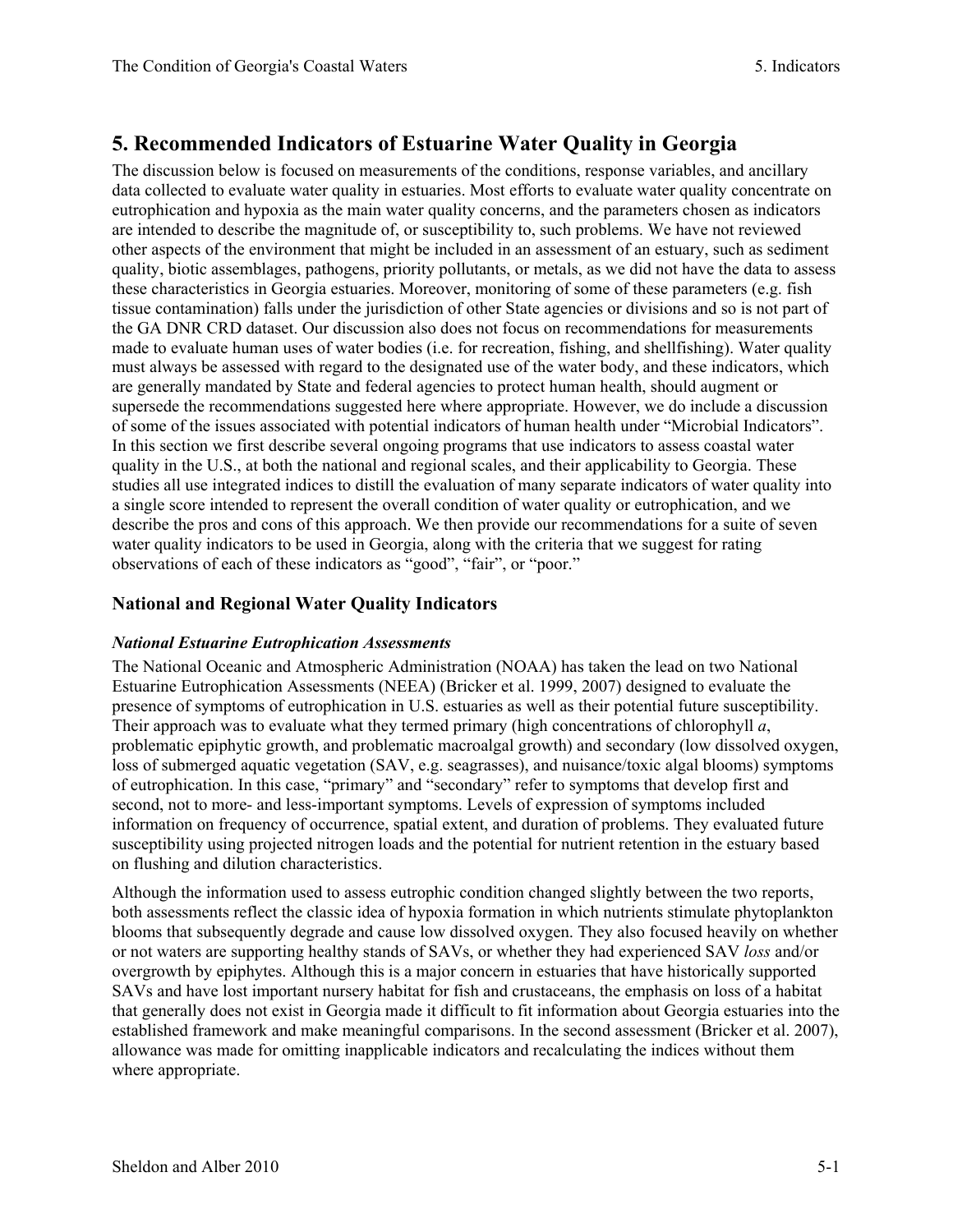# **5. Recommended Indicators of Estuarine Water Quality in Georgia**

The discussion below is focused on measurements of the conditions, response variables, and ancillary data collected to evaluate water quality in estuaries. Most efforts to evaluate water quality concentrate on eutrophication and hypoxia as the main water quality concerns, and the parameters chosen as indicators are intended to describe the magnitude of, or susceptibility to, such problems. We have not reviewed other aspects of the environment that might be included in an assessment of an estuary, such as sediment quality, biotic assemblages, pathogens, priority pollutants, or metals, as we did not have the data to assess these characteristics in Georgia estuaries. Moreover, monitoring of some of these parameters (e.g. fish tissue contamination) falls under the jurisdiction of other State agencies or divisions and so is not part of the GA DNR CRD dataset. Our discussion also does not focus on recommendations for measurements made to evaluate human uses of water bodies (i.e. for recreation, fishing, and shellfishing). Water quality must always be assessed with regard to the designated use of the water body, and these indicators, which are generally mandated by State and federal agencies to protect human health, should augment or supersede the recommendations suggested here where appropriate. However, we do include a discussion of some of the issues associated with potential indicators of human health under "Microbial Indicators". In this section we first describe several ongoing programs that use indicators to assess coastal water quality in the U.S., at both the national and regional scales, and their applicability to Georgia. These studies all use integrated indices to distill the evaluation of many separate indicators of water quality into a single score intended to represent the overall condition of water quality or eutrophication, and we describe the pros and cons of this approach. We then provide our recommendations for a suite of seven water quality indicators to be used in Georgia, along with the criteria that we suggest for rating observations of each of these indicators as "good", "fair", or "poor."

# **National and Regional Water Quality Indicators**

### *National Estuarine Eutrophication Assessments*

The National Oceanic and Atmospheric Administration (NOAA) has taken the lead on two National Estuarine Eutrophication Assessments (NEEA) (Bricker et al. 1999, 2007) designed to evaluate the presence of symptoms of eutrophication in U.S. estuaries as well as their potential future susceptibility. Their approach was to evaluate what they termed primary (high concentrations of chlorophyll *a*, problematic epiphytic growth, and problematic macroalgal growth) and secondary (low dissolved oxygen, loss of submerged aquatic vegetation (SAV, e.g. seagrasses), and nuisance/toxic algal blooms) symptoms of eutrophication. In this case, "primary" and "secondary" refer to symptoms that develop first and second, not to more- and less-important symptoms. Levels of expression of symptoms included information on frequency of occurrence, spatial extent, and duration of problems. They evaluated future susceptibility using projected nitrogen loads and the potential for nutrient retention in the estuary based on flushing and dilution characteristics.

Although the information used to assess eutrophic condition changed slightly between the two reports, both assessments reflect the classic idea of hypoxia formation in which nutrients stimulate phytoplankton blooms that subsequently degrade and cause low dissolved oxygen. They also focused heavily on whether or not waters are supporting healthy stands of SAVs, or whether they had experienced SAV *loss* and/or overgrowth by epiphytes. Although this is a major concern in estuaries that have historically supported SAVs and have lost important nursery habitat for fish and crustaceans, the emphasis on loss of a habitat that generally does not exist in Georgia made it difficult to fit information about Georgia estuaries into the established framework and make meaningful comparisons. In the second assessment (Bricker et al. 2007), allowance was made for omitting inapplicable indicators and recalculating the indices without them where appropriate.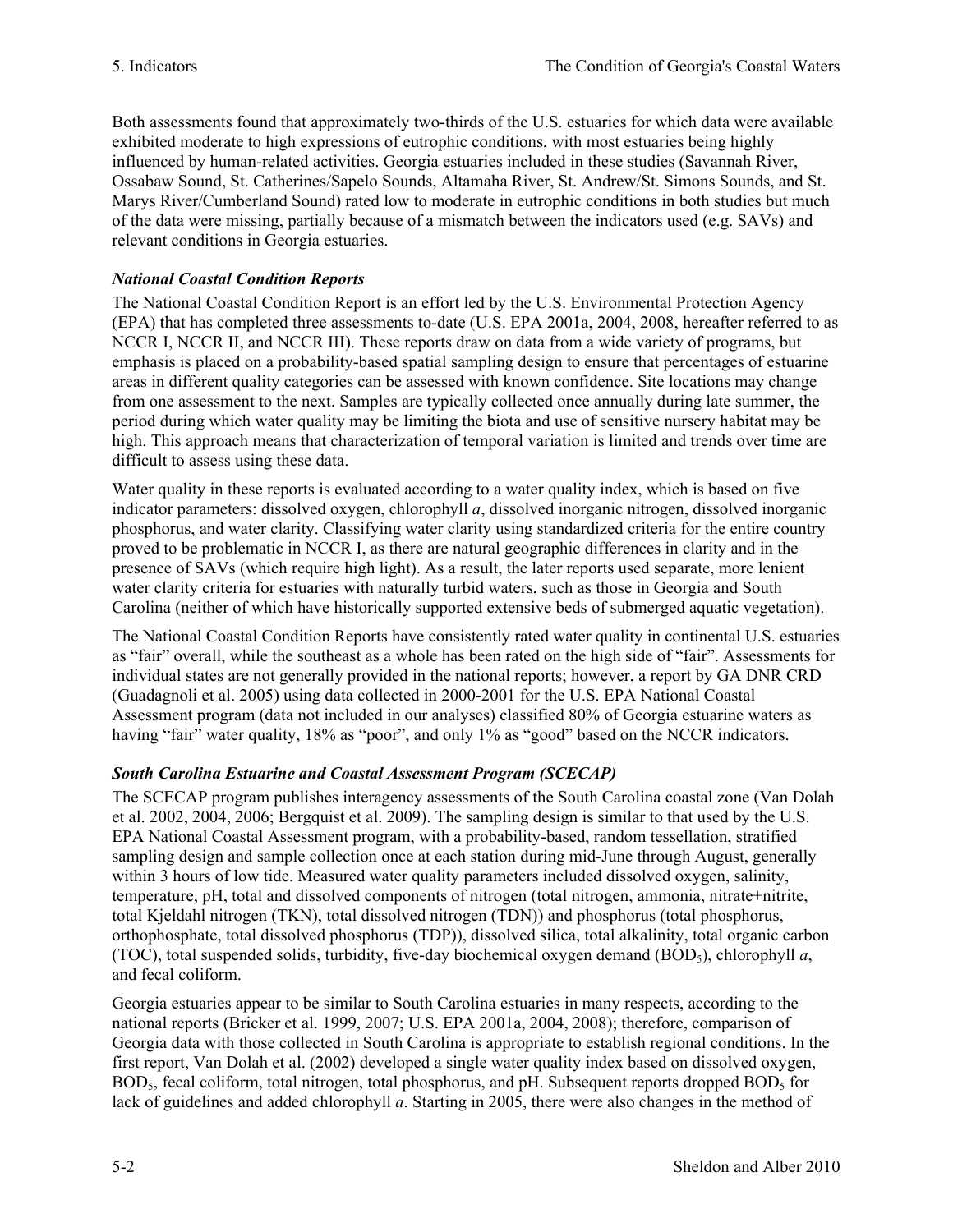Both assessments found that approximately two-thirds of the U.S. estuaries for which data were available exhibited moderate to high expressions of eutrophic conditions, with most estuaries being highly influenced by human-related activities. Georgia estuaries included in these studies (Savannah River, Ossabaw Sound, St. Catherines/Sapelo Sounds, Altamaha River, St. Andrew/St. Simons Sounds, and St. Marys River/Cumberland Sound) rated low to moderate in eutrophic conditions in both studies but much of the data were missing, partially because of a mismatch between the indicators used (e.g. SAVs) and relevant conditions in Georgia estuaries.

# *National Coastal Condition Reports*

The National Coastal Condition Report is an effort led by the U.S. Environmental Protection Agency (EPA) that has completed three assessments to-date (U.S. EPA 2001a, 2004, 2008, hereafter referred to as NCCR I, NCCR II, and NCCR III). These reports draw on data from a wide variety of programs, but emphasis is placed on a probability-based spatial sampling design to ensure that percentages of estuarine areas in different quality categories can be assessed with known confidence. Site locations may change from one assessment to the next. Samples are typically collected once annually during late summer, the period during which water quality may be limiting the biota and use of sensitive nursery habitat may be high. This approach means that characterization of temporal variation is limited and trends over time are difficult to assess using these data.

Water quality in these reports is evaluated according to a water quality index, which is based on five indicator parameters: dissolved oxygen, chlorophyll *a*, dissolved inorganic nitrogen, dissolved inorganic phosphorus, and water clarity. Classifying water clarity using standardized criteria for the entire country proved to be problematic in NCCR I, as there are natural geographic differences in clarity and in the presence of SAVs (which require high light). As a result, the later reports used separate, more lenient water clarity criteria for estuaries with naturally turbid waters, such as those in Georgia and South Carolina (neither of which have historically supported extensive beds of submerged aquatic vegetation).

The National Coastal Condition Reports have consistently rated water quality in continental U.S. estuaries as "fair" overall, while the southeast as a whole has been rated on the high side of "fair". Assessments for individual states are not generally provided in the national reports; however, a report by GA DNR CRD (Guadagnoli et al. 2005) using data collected in 2000-2001 for the U.S. EPA National Coastal Assessment program (data not included in our analyses) classified 80% of Georgia estuarine waters as having "fair" water quality, 18% as "poor", and only 1% as "good" based on the NCCR indicators.

# *South Carolina Estuarine and Coastal Assessment Program (SCECAP)*

The SCECAP program publishes interagency assessments of the South Carolina coastal zone (Van Dolah et al. 2002, 2004, 2006; Bergquist et al. 2009). The sampling design is similar to that used by the U.S. EPA National Coastal Assessment program, with a probability-based, random tessellation, stratified sampling design and sample collection once at each station during mid-June through August, generally within 3 hours of low tide. Measured water quality parameters included dissolved oxygen, salinity, temperature, pH, total and dissolved components of nitrogen (total nitrogen, ammonia, nitrate+nitrite, total Kjeldahl nitrogen (TKN), total dissolved nitrogen (TDN)) and phosphorus (total phosphorus, orthophosphate, total dissolved phosphorus (TDP)), dissolved silica, total alkalinity, total organic carbon (TOC), total suspended solids, turbidity, five-day biochemical oxygen demand (BOD5), chlorophyll *a*, and fecal coliform.

Georgia estuaries appear to be similar to South Carolina estuaries in many respects, according to the national reports (Bricker et al. 1999, 2007; U.S. EPA 2001a, 2004, 2008); therefore, comparison of Georgia data with those collected in South Carolina is appropriate to establish regional conditions. In the first report, Van Dolah et al. (2002) developed a single water quality index based on dissolved oxygen,  $BOD<sub>5</sub>$  fecal coliform, total nitrogen, total phosphorus, and pH. Subsequent reports dropped  $BOD<sub>5</sub>$  for lack of guidelines and added chlorophyll *a*. Starting in 2005, there were also changes in the method of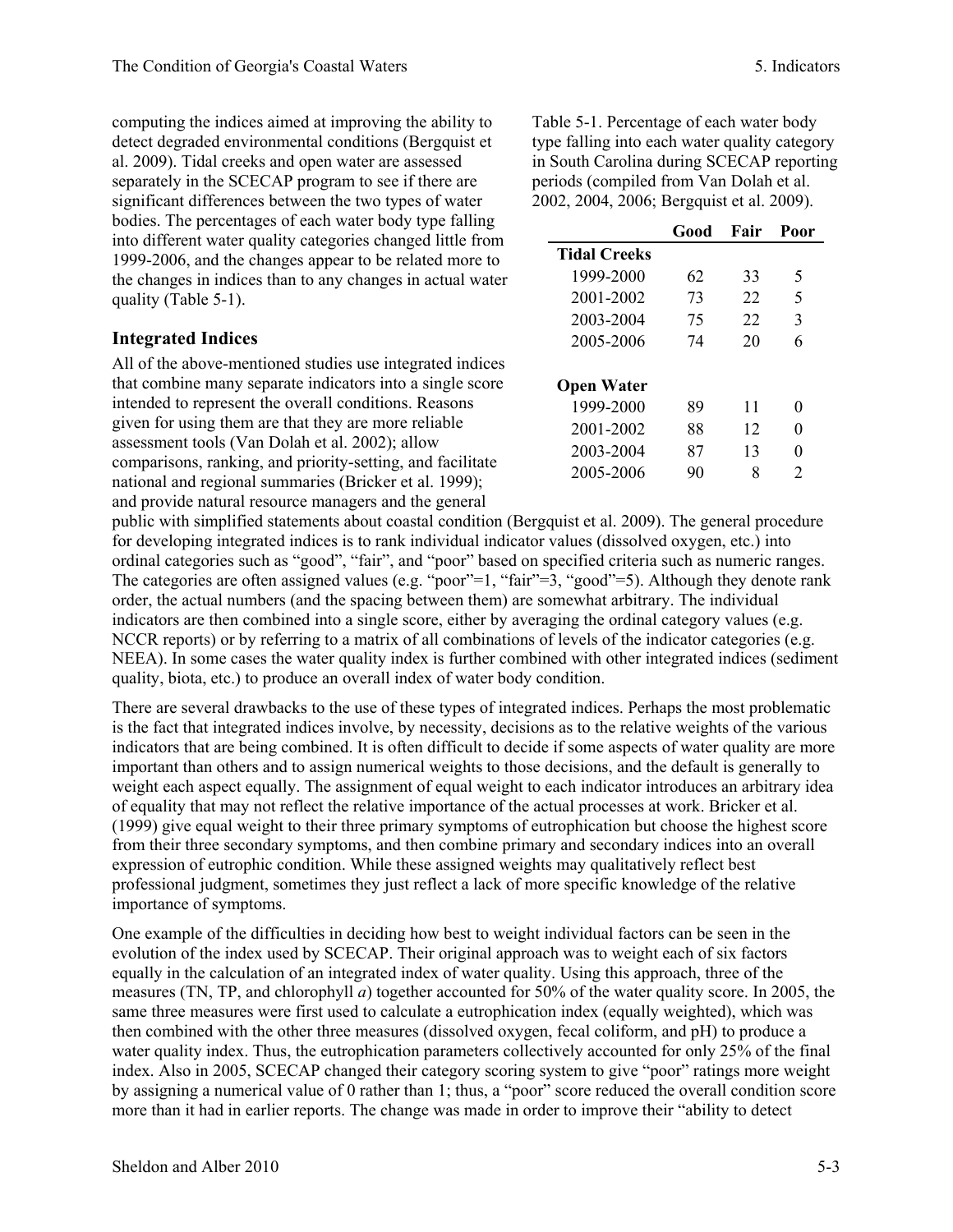computing the indices aimed at improving the ability to detect degraded environmental conditions (Bergquist et al. 2009). Tidal creeks and open water are assessed separately in the SCECAP program to see if there are significant differences between the two types of water bodies. The percentages of each water body type falling into different water quality categories changed little from 1999-2006, and the changes appear to be related more to the changes in indices than to any changes in actual water quality (Table 5-1).

### **Integrated Indices**

All of the above-mentioned studies use integrated indices that combine many separate indicators into a single score intended to represent the overall conditions. Reasons given for using them are that they are more reliable assessment tools (Van Dolah et al. 2002); allow comparisons, ranking, and priority-setting, and facilitate national and regional summaries (Bricker et al. 1999); and provide natural resource managers and the general

Table 5-1. Percentage of each water body type falling into each water quality category in South Carolina during SCECAP reporting periods (compiled from Van Dolah et al. 2002, 2004, 2006; Bergquist et al. 2009).

|                     | Good | Fair | Poor |
|---------------------|------|------|------|
| <b>Tidal Creeks</b> |      |      |      |
| 1999-2000           | 62   | 33   | 5    |
| 2001-2002           | 73   | 22   | 5    |
| 2003-2004           | 75   | 22   | 3    |
| 2005-2006           | 74   | 20   | 6    |
|                     |      |      |      |
| <b>Open Water</b>   |      |      |      |
| 1999-2000           | 89   | 11   | 0    |
| 2001-2002           | 88   | 12   | 0    |
| 2003-2004           | 87   | 13   | 0    |
| 2005-2006           | 90   |      | 2    |

public with simplified statements about coastal condition (Bergquist et al. 2009). The general procedure for developing integrated indices is to rank individual indicator values (dissolved oxygen, etc.) into ordinal categories such as "good", "fair", and "poor" based on specified criteria such as numeric ranges. The categories are often assigned values (e.g. "poor"=1, "fair"=3, "good"=5). Although they denote rank order, the actual numbers (and the spacing between them) are somewhat arbitrary. The individual indicators are then combined into a single score, either by averaging the ordinal category values (e.g. NCCR reports) or by referring to a matrix of all combinations of levels of the indicator categories (e.g. NEEA). In some cases the water quality index is further combined with other integrated indices (sediment quality, biota, etc.) to produce an overall index of water body condition.

There are several drawbacks to the use of these types of integrated indices. Perhaps the most problematic is the fact that integrated indices involve, by necessity, decisions as to the relative weights of the various indicators that are being combined. It is often difficult to decide if some aspects of water quality are more important than others and to assign numerical weights to those decisions, and the default is generally to weight each aspect equally. The assignment of equal weight to each indicator introduces an arbitrary idea of equality that may not reflect the relative importance of the actual processes at work. Bricker et al. (1999) give equal weight to their three primary symptoms of eutrophication but choose the highest score from their three secondary symptoms, and then combine primary and secondary indices into an overall expression of eutrophic condition. While these assigned weights may qualitatively reflect best professional judgment, sometimes they just reflect a lack of more specific knowledge of the relative importance of symptoms.

One example of the difficulties in deciding how best to weight individual factors can be seen in the evolution of the index used by SCECAP. Their original approach was to weight each of six factors equally in the calculation of an integrated index of water quality. Using this approach, three of the measures (TN, TP, and chlorophyll *a*) together accounted for 50% of the water quality score. In 2005, the same three measures were first used to calculate a eutrophication index (equally weighted), which was then combined with the other three measures (dissolved oxygen, fecal coliform, and pH) to produce a water quality index. Thus, the eutrophication parameters collectively accounted for only 25% of the final index. Also in 2005, SCECAP changed their category scoring system to give "poor" ratings more weight by assigning a numerical value of 0 rather than 1; thus, a "poor" score reduced the overall condition score more than it had in earlier reports. The change was made in order to improve their "ability to detect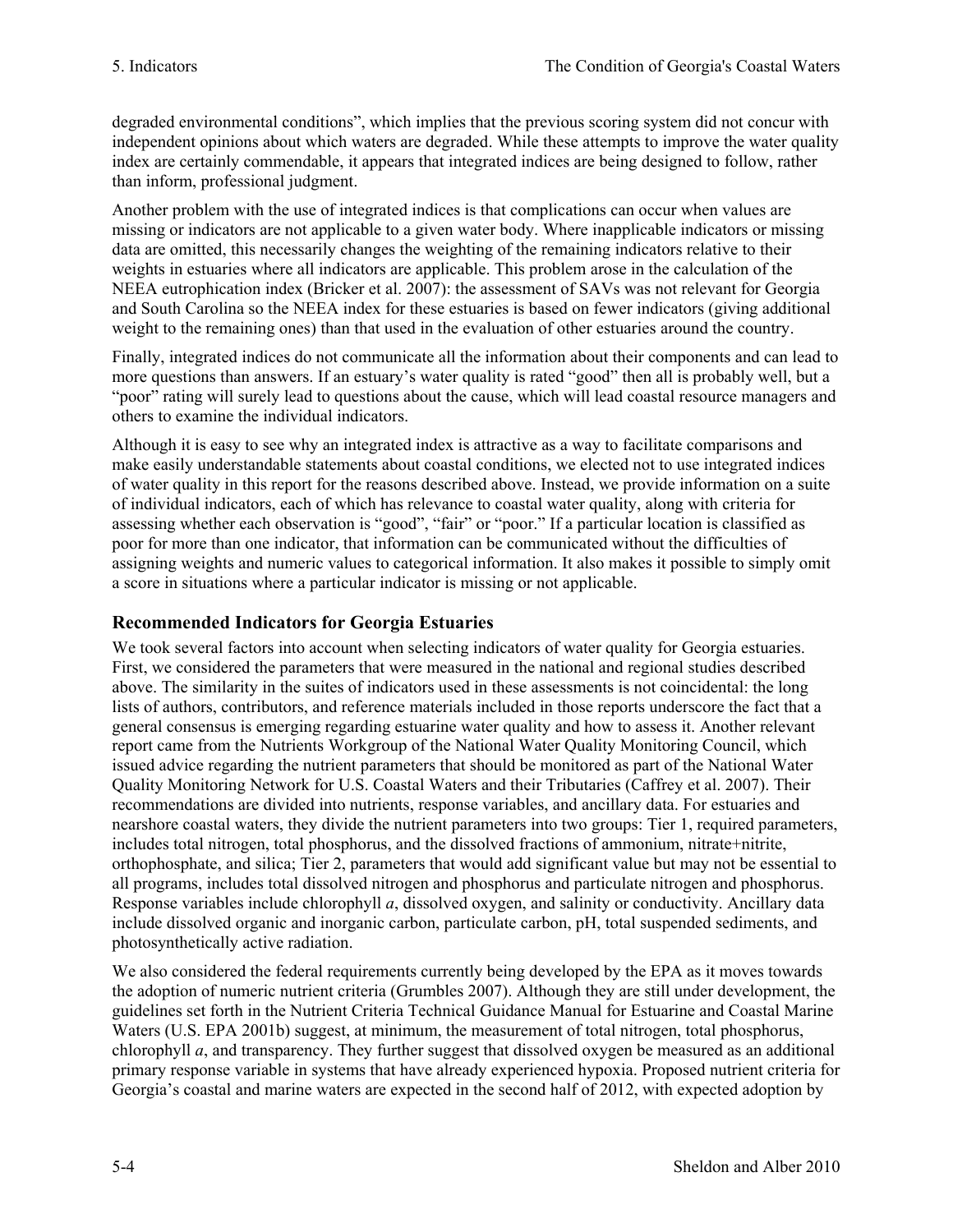degraded environmental conditions", which implies that the previous scoring system did not concur with independent opinions about which waters are degraded. While these attempts to improve the water quality index are certainly commendable, it appears that integrated indices are being designed to follow, rather than inform, professional judgment.

Another problem with the use of integrated indices is that complications can occur when values are missing or indicators are not applicable to a given water body. Where inapplicable indicators or missing data are omitted, this necessarily changes the weighting of the remaining indicators relative to their weights in estuaries where all indicators are applicable. This problem arose in the calculation of the NEEA eutrophication index (Bricker et al. 2007): the assessment of SAVs was not relevant for Georgia and South Carolina so the NEEA index for these estuaries is based on fewer indicators (giving additional weight to the remaining ones) than that used in the evaluation of other estuaries around the country.

Finally, integrated indices do not communicate all the information about their components and can lead to more questions than answers. If an estuary's water quality is rated "good" then all is probably well, but a "poor" rating will surely lead to questions about the cause, which will lead coastal resource managers and others to examine the individual indicators.

Although it is easy to see why an integrated index is attractive as a way to facilitate comparisons and make easily understandable statements about coastal conditions, we elected not to use integrated indices of water quality in this report for the reasons described above. Instead, we provide information on a suite of individual indicators, each of which has relevance to coastal water quality, along with criteria for assessing whether each observation is "good", "fair" or "poor." If a particular location is classified as poor for more than one indicator, that information can be communicated without the difficulties of assigning weights and numeric values to categorical information. It also makes it possible to simply omit a score in situations where a particular indicator is missing or not applicable.

# **Recommended Indicators for Georgia Estuaries**

We took several factors into account when selecting indicators of water quality for Georgia estuaries. First, we considered the parameters that were measured in the national and regional studies described above. The similarity in the suites of indicators used in these assessments is not coincidental: the long lists of authors, contributors, and reference materials included in those reports underscore the fact that a general consensus is emerging regarding estuarine water quality and how to assess it. Another relevant report came from the Nutrients Workgroup of the National Water Quality Monitoring Council, which issued advice regarding the nutrient parameters that should be monitored as part of the National Water Quality Monitoring Network for U.S. Coastal Waters and their Tributaries (Caffrey et al. 2007). Their recommendations are divided into nutrients, response variables, and ancillary data. For estuaries and nearshore coastal waters, they divide the nutrient parameters into two groups: Tier 1, required parameters, includes total nitrogen, total phosphorus, and the dissolved fractions of ammonium, nitrate+nitrite, orthophosphate, and silica; Tier 2, parameters that would add significant value but may not be essential to all programs, includes total dissolved nitrogen and phosphorus and particulate nitrogen and phosphorus. Response variables include chlorophyll *a*, dissolved oxygen, and salinity or conductivity. Ancillary data include dissolved organic and inorganic carbon, particulate carbon, pH, total suspended sediments, and photosynthetically active radiation.

We also considered the federal requirements currently being developed by the EPA as it moves towards the adoption of numeric nutrient criteria (Grumbles 2007). Although they are still under development, the guidelines set forth in the Nutrient Criteria Technical Guidance Manual for Estuarine and Coastal Marine Waters (U.S. EPA 2001b) suggest, at minimum, the measurement of total nitrogen, total phosphorus, chlorophyll *a*, and transparency. They further suggest that dissolved oxygen be measured as an additional primary response variable in systems that have already experienced hypoxia. Proposed nutrient criteria for Georgia's coastal and marine waters are expected in the second half of 2012, with expected adoption by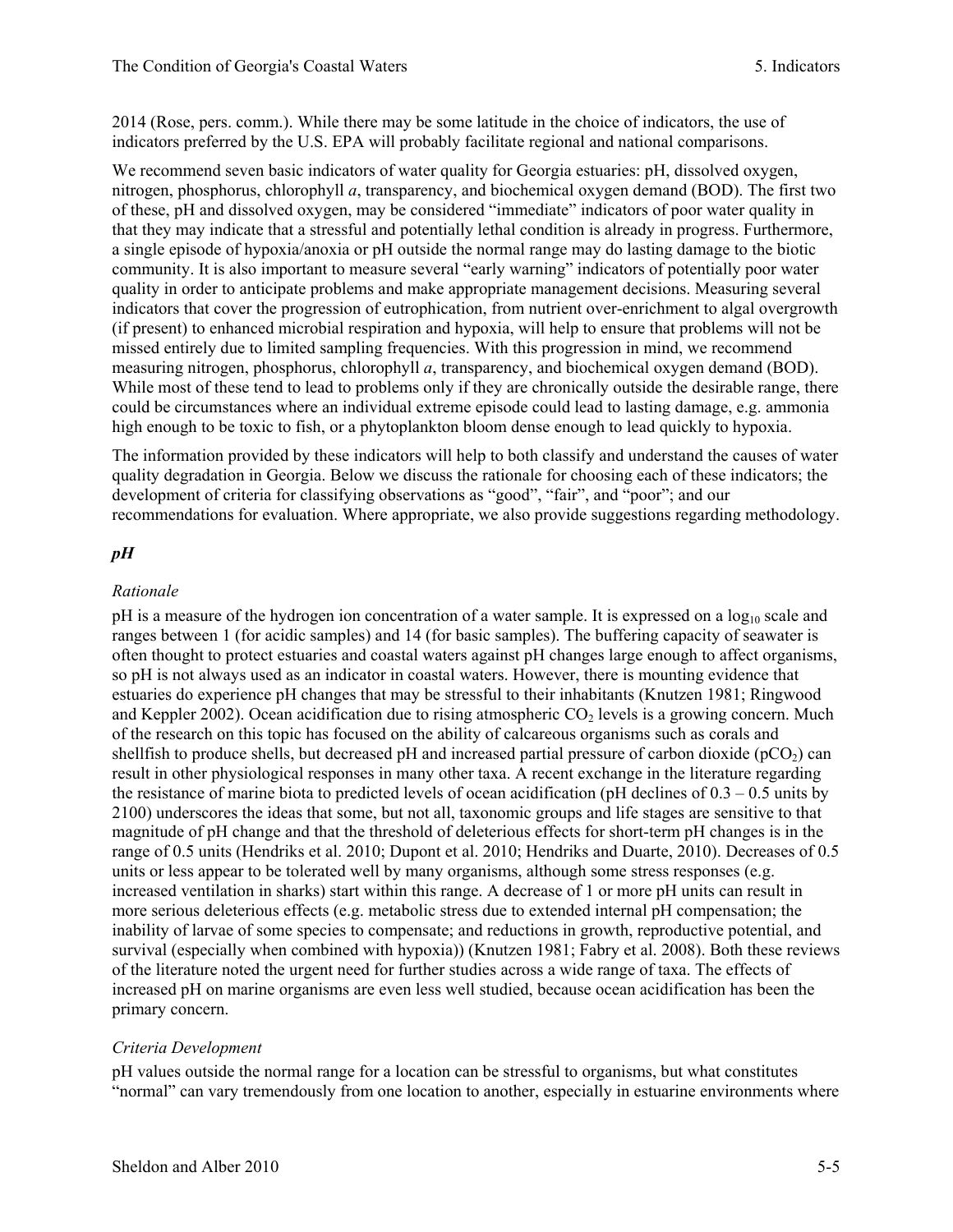2014 (Rose, pers. comm.). While there may be some latitude in the choice of indicators, the use of indicators preferred by the U.S. EPA will probably facilitate regional and national comparisons.

We recommend seven basic indicators of water quality for Georgia estuaries: pH, dissolved oxygen, nitrogen, phosphorus, chlorophyll *a*, transparency, and biochemical oxygen demand (BOD). The first two of these, pH and dissolved oxygen, may be considered "immediate" indicators of poor water quality in that they may indicate that a stressful and potentially lethal condition is already in progress. Furthermore, a single episode of hypoxia/anoxia or pH outside the normal range may do lasting damage to the biotic community. It is also important to measure several "early warning" indicators of potentially poor water quality in order to anticipate problems and make appropriate management decisions. Measuring several indicators that cover the progression of eutrophication, from nutrient over-enrichment to algal overgrowth (if present) to enhanced microbial respiration and hypoxia, will help to ensure that problems will not be missed entirely due to limited sampling frequencies. With this progression in mind, we recommend measuring nitrogen, phosphorus, chlorophyll *a*, transparency, and biochemical oxygen demand (BOD). While most of these tend to lead to problems only if they are chronically outside the desirable range, there could be circumstances where an individual extreme episode could lead to lasting damage, e.g. ammonia high enough to be toxic to fish, or a phytoplankton bloom dense enough to lead quickly to hypoxia.

The information provided by these indicators will help to both classify and understand the causes of water quality degradation in Georgia. Below we discuss the rationale for choosing each of these indicators; the development of criteria for classifying observations as "good", "fair", and "poor"; and our recommendations for evaluation. Where appropriate, we also provide suggestions regarding methodology.

#### *pH*

#### *Rationale*

pH is a measure of the hydrogen ion concentration of a water sample. It is expressed on a log<sub>10</sub> scale and ranges between 1 (for acidic samples) and 14 (for basic samples). The buffering capacity of seawater is often thought to protect estuaries and coastal waters against pH changes large enough to affect organisms, so pH is not always used as an indicator in coastal waters. However, there is mounting evidence that estuaries do experience pH changes that may be stressful to their inhabitants (Knutzen 1981; Ringwood and Keppler 2002). Ocean acidification due to rising atmospheric  $CO<sub>2</sub>$  levels is a growing concern. Much of the research on this topic has focused on the ability of calcareous organisms such as corals and shellfish to produce shells, but decreased pH and increased partial pressure of carbon dioxide ( $pCO<sub>2</sub>$ ) can result in other physiological responses in many other taxa. A recent exchange in the literature regarding the resistance of marine biota to predicted levels of ocean acidification (pH declines of  $0.3 - 0.5$  units by 2100) underscores the ideas that some, but not all, taxonomic groups and life stages are sensitive to that magnitude of pH change and that the threshold of deleterious effects for short-term pH changes is in the range of 0.5 units (Hendriks et al. 2010; Dupont et al. 2010; Hendriks and Duarte, 2010). Decreases of 0.5 units or less appear to be tolerated well by many organisms, although some stress responses (e.g. increased ventilation in sharks) start within this range. A decrease of 1 or more pH units can result in more serious deleterious effects (e.g. metabolic stress due to extended internal pH compensation; the inability of larvae of some species to compensate; and reductions in growth, reproductive potential, and survival (especially when combined with hypoxia)) (Knutzen 1981; Fabry et al. 2008). Both these reviews of the literature noted the urgent need for further studies across a wide range of taxa. The effects of increased pH on marine organisms are even less well studied, because ocean acidification has been the primary concern.

#### *Criteria Development*

pH values outside the normal range for a location can be stressful to organisms, but what constitutes "normal" can vary tremendously from one location to another, especially in estuarine environments where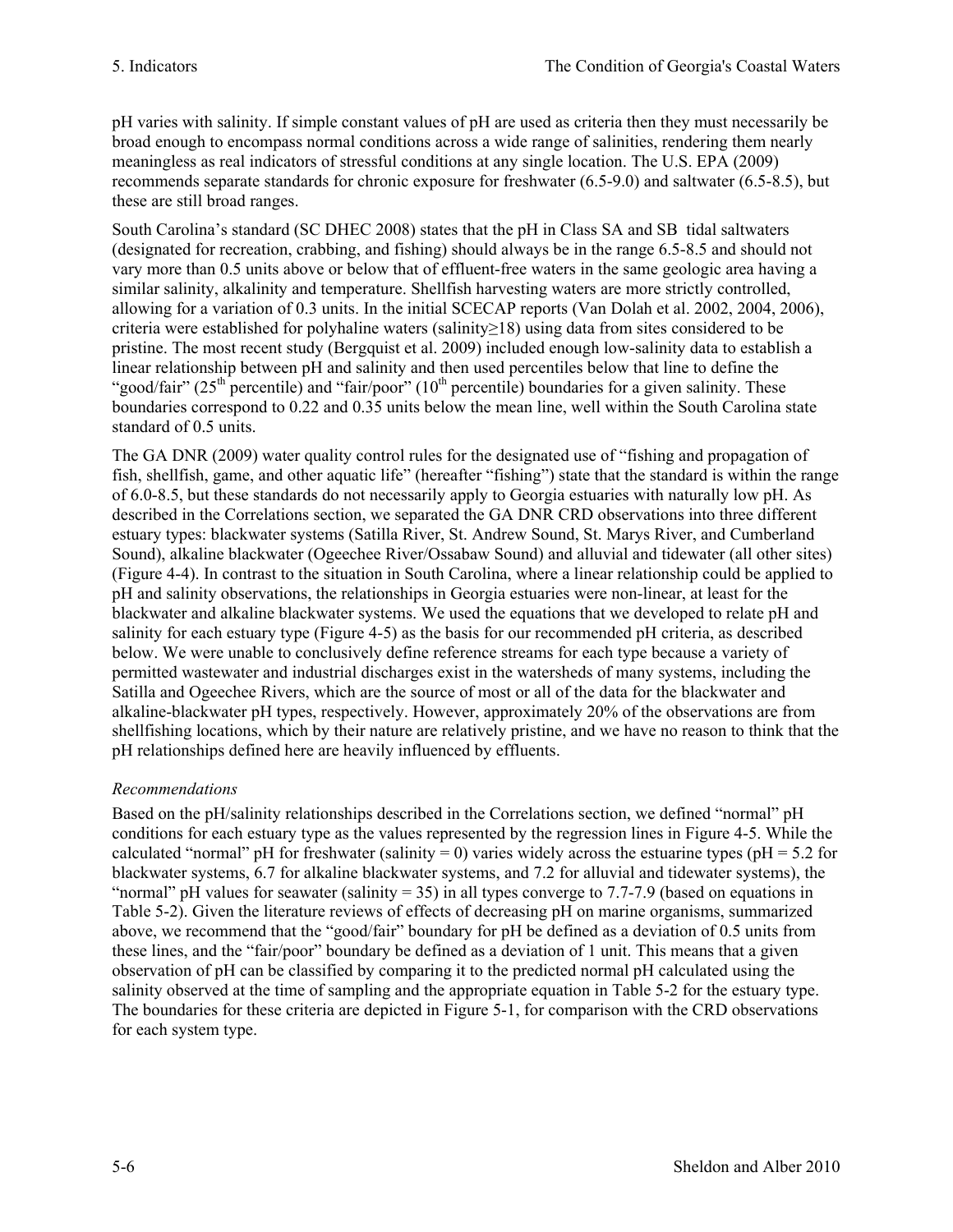pH varies with salinity. If simple constant values of pH are used as criteria then they must necessarily be broad enough to encompass normal conditions across a wide range of salinities, rendering them nearly meaningless as real indicators of stressful conditions at any single location. The U.S. EPA (2009) recommends separate standards for chronic exposure for freshwater (6.5-9.0) and saltwater (6.5-8.5), but these are still broad ranges.

South Carolina's standard (SC DHEC 2008) states that the pH in Class SA and SB tidal saltwaters (designated for recreation, crabbing, and fishing) should always be in the range 6.5-8.5 and should not vary more than 0.5 units above or below that of effluent-free waters in the same geologic area having a similar salinity, alkalinity and temperature. Shellfish harvesting waters are more strictly controlled, allowing for a variation of 0.3 units. In the initial SCECAP reports (Van Dolah et al. 2002, 2004, 2006), criteria were established for polyhaline waters (salinity≥18) using data from sites considered to be pristine. The most recent study (Bergquist et al. 2009) included enough low-salinity data to establish a linear relationship between pH and salinity and then used percentiles below that line to define the "good/fair"  $(25<sup>th</sup>$  percentile) and "fair/poor"  $(10<sup>th</sup>$  percentile) boundaries for a given salinity. These boundaries correspond to 0.22 and 0.35 units below the mean line, well within the South Carolina state standard of 0.5 units.

The GA DNR (2009) water quality control rules for the designated use of "fishing and propagation of fish, shellfish, game, and other aquatic life" (hereafter "fishing") state that the standard is within the range of 6.0-8.5, but these standards do not necessarily apply to Georgia estuaries with naturally low pH. As described in the Correlations section, we separated the GA DNR CRD observations into three different estuary types: blackwater systems (Satilla River, St. Andrew Sound, St. Marys River, and Cumberland Sound), alkaline blackwater (Ogeechee River/Ossabaw Sound) and alluvial and tidewater (all other sites) (Figure 4-4). In contrast to the situation in South Carolina, where a linear relationship could be applied to pH and salinity observations, the relationships in Georgia estuaries were non-linear, at least for the blackwater and alkaline blackwater systems. We used the equations that we developed to relate pH and salinity for each estuary type (Figure 4-5) as the basis for our recommended pH criteria, as described below. We were unable to conclusively define reference streams for each type because a variety of permitted wastewater and industrial discharges exist in the watersheds of many systems, including the Satilla and Ogeechee Rivers, which are the source of most or all of the data for the blackwater and alkaline-blackwater pH types, respectively. However, approximately 20% of the observations are from shellfishing locations, which by their nature are relatively pristine, and we have no reason to think that the pH relationships defined here are heavily influenced by effluents.

# *Recommendations*

Based on the pH/salinity relationships described in the Correlations section, we defined "normal" pH conditions for each estuary type as the values represented by the regression lines in Figure 4-5. While the calculated "normal" pH for freshwater (salinity = 0) varies widely across the estuarine types ( $pH = 5.2$  for blackwater systems, 6.7 for alkaline blackwater systems, and 7.2 for alluvial and tidewater systems), the "normal" pH values for seawater (salinity = 35) in all types converge to 7.7-7.9 (based on equations in Table 5-2). Given the literature reviews of effects of decreasing pH on marine organisms, summarized above, we recommend that the "good/fair" boundary for pH be defined as a deviation of 0.5 units from these lines, and the "fair/poor" boundary be defined as a deviation of 1 unit. This means that a given observation of pH can be classified by comparing it to the predicted normal pH calculated using the salinity observed at the time of sampling and the appropriate equation in Table 5-2 for the estuary type. The boundaries for these criteria are depicted in Figure 5-1, for comparison with the CRD observations for each system type.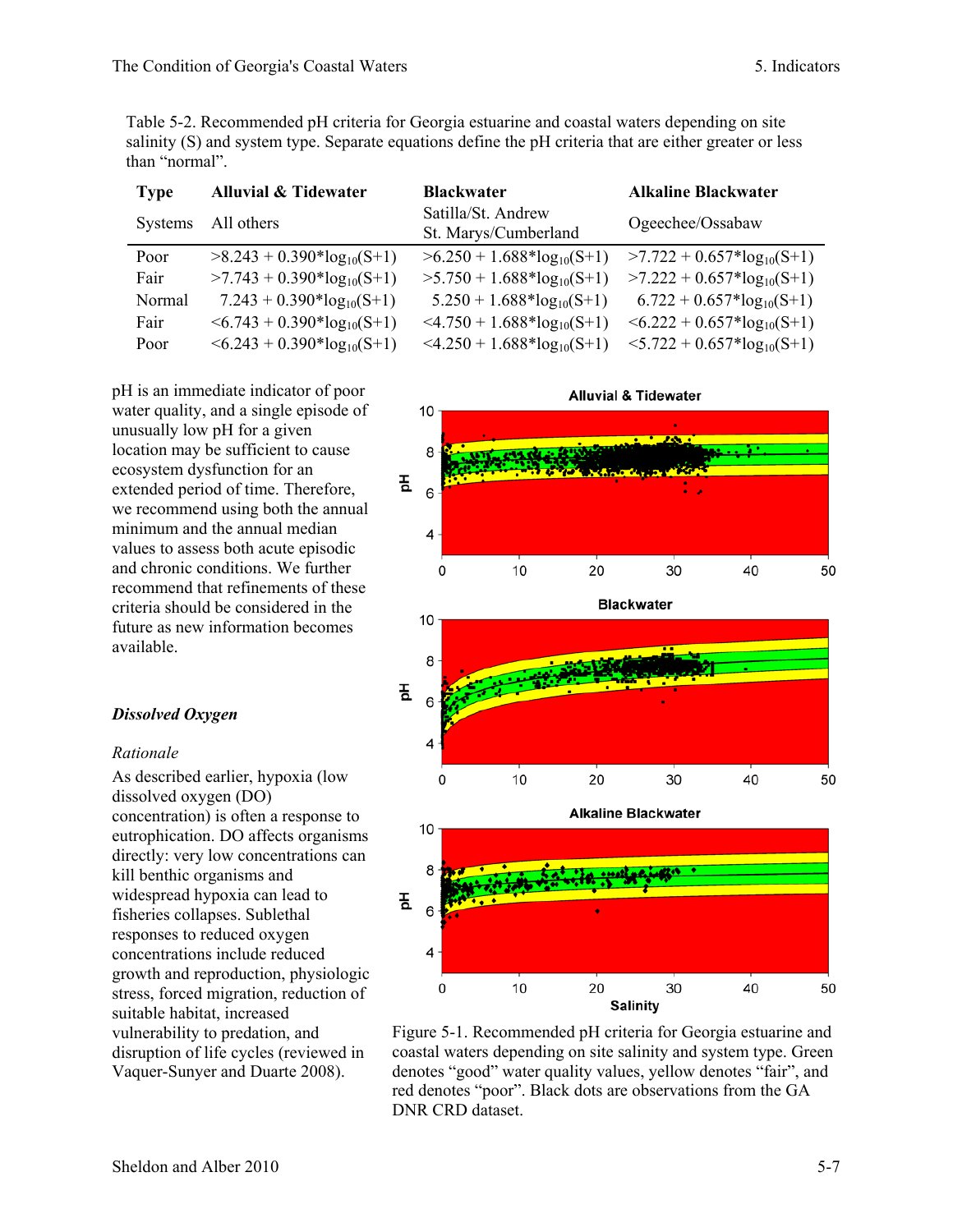Table 5-2. Recommended pH criteria for Georgia estuarine and coastal waters depending on site salinity (S) and system type. Separate equations define the pH criteria that are either greater or less than "normal".

| <b>Type</b> | <b>Alluvial &amp; Tidewater</b>    | <b>Blackwater</b>                            | <b>Alkaline Blackwater</b>         |
|-------------|------------------------------------|----------------------------------------------|------------------------------------|
| Systems     | All others                         | Satilla/St. Andrew<br>St. Marys/Cumberland   | Ogeechee/Ossabaw                   |
| Poor        | $>8.243 + 0.390*log_{10}(S+1)$     | $>6.250 + 1.688 * log_{10}(S+1)$             | $>7.722 + 0.657*log_{10}(S+1)$     |
| Fair        | $>7.743 + 0.390*log_{10}(S+1)$     | $>5.750 + 1.688 * log10(S+1)$                | $>7.222 + 0.657*log_{10}(S+1)$     |
| Normal      | $7.243 + 0.390*log_{10}(S+1)$      | $5.250 + 1.688*log_{10}(S+1)$                | $6.722 + 0.657*log_{10}(S+1)$      |
| Fair        | $\leq 6.743 + 0.390*log_{10}(S+1)$ | $\leq$ 4.750 + 1.688*log <sub>10</sub> (S+1) | $\leq 6.222 + 0.657*log_{10}(S+1)$ |
| Poor        | $\leq 6.243 + 0.390*log_{10}(S+1)$ | $\leq$ 4.250 + 1.688*log <sub>10</sub> (S+1) | $5.722 + 0.657*log_{10}(S+1)$      |

pH is an immediate indicator of poor water quality, and a single episode of unusually low pH for a given location may be sufficient to cause ecosystem dysfunction for an extended period of time. Therefore, we recommend using both the annual minimum and the annual median values to assess both acute episodic and chronic conditions. We further recommend that refinements of these criteria should be considered in the future as new information becomes available.

#### *Dissolved Oxygen*

#### *Rationale*

As described earlier, hypoxia (low dissolved oxygen (DO) concentration) is often a response to eutrophication. DO affects organisms directly: very low concentrations can kill benthic organisms and widespread hypoxia can lead to fisheries collapses. Sublethal responses to reduced oxygen concentrations include reduced growth and reproduction, physiologic stress, forced migration, reduction of suitable habitat, increased vulnerability to predation, and disruption of life cycles (reviewed in Vaquer-Sunyer and Duarte 2008).



Figure 5-1. Recommended pH criteria for Georgia estuarine and coastal waters depending on site salinity and system type. Green denotes "good" water quality values, yellow denotes "fair", and red denotes "poor". Black dots are observations from the GA DNR CRD dataset.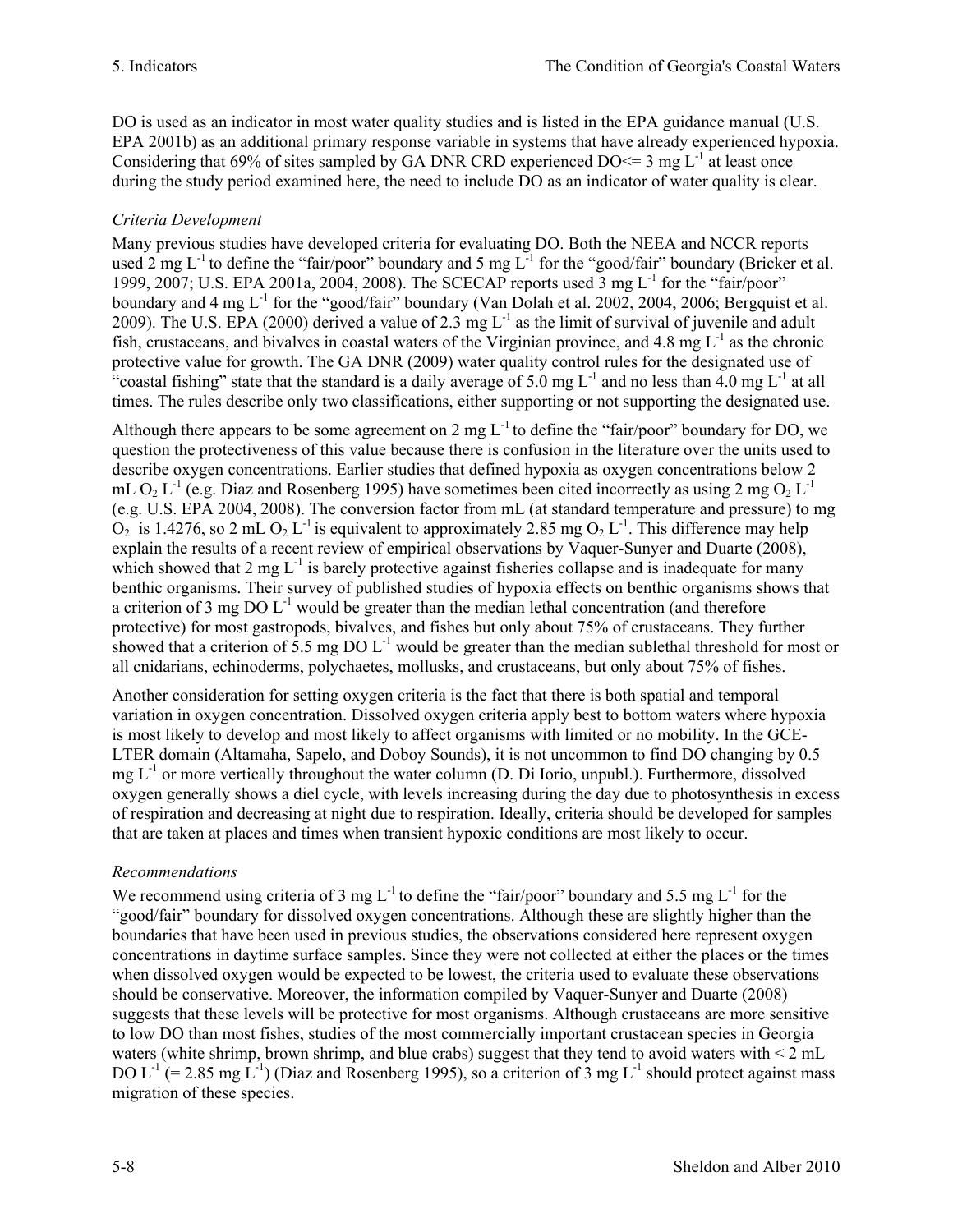DO is used as an indicator in most water quality studies and is listed in the EPA guidance manual (U.S. EPA 2001b) as an additional primary response variable in systems that have already experienced hypoxia. Considering that 69% of sites sampled by GA DNR CRD experienced  $DO \le 3$  mg  $L^1$  at least once during the study period examined here, the need to include DO as an indicator of water quality is clear.

# *Criteria Development*

Many previous studies have developed criteria for evaluating DO. Both the NEEA and NCCR reports used 2 mg  $L^{-1}$  to define the "fair/poor" boundary and 5 mg  $L^{-1}$  for the "good/fair" boundary (Bricker et al. 1999, 2007; U.S. EPA 2001a, 2004, 2008). The SCECAP reports used  $\overline{3}$  mg  $\overline{L}^1$  for the "fair/poor" boundary and 4 mg L<sup>-1</sup> for the "good/fair" boundary (Van Dolah et al. 2002, 2004, 2006; Bergquist et al. 2009). The U.S. EPA (2000) derived a value of 2.3 mg  $L^{-1}$  as the limit of survival of juvenile and adult fish, crustaceans, and bivalves in coastal waters of the Virginian province, and 4.8 mg  $L^{-1}$  as the chronic protective value for growth. The GA DNR (2009) water quality control rules for the designated use of "coastal fishing" state that the standard is a daily average of 5.0 mg  $L^{-1}$  and no less than 4.0 mg  $L^{-1}$  at all times. The rules describe only two classifications, either supporting or not supporting the designated use.

Although there appears to be some agreement on 2 mg  $L^{-1}$  to define the "fair/poor" boundary for DO, we question the protectiveness of this value because there is confusion in the literature over the units used to describe oxygen concentrations. Earlier studies that defined hypoxia as oxygen concentrations below 2 mL O<sub>2</sub> L<sup>-1</sup> (e.g. Diaz and Rosenberg 1995) have sometimes been cited incorrectly as using 2 mg O<sub>2</sub> L<sup>-1</sup> (e.g. U.S. EPA 2004, 2008). The conversion factor from mL (at standard temperature and pressure) to mg  $O_2$  is 1.4276, so 2 mL  $O_2$  L<sup>-1</sup> is equivalent to approximately 2.85 mg  $O_2$  L<sup>-1</sup>. This difference may help explain the results of a recent review of empirical observations by Vaquer-Sunyer and Duarte (2008). which showed that  $2 \text{ mg } L^{-1}$  is barely protective against fisheries collapse and is inadequate for many benthic organisms. Their survey of published studies of hypoxia effects on benthic organisms shows that a criterion of 3 mg DO  $L^{-1}$  would be greater than the median lethal concentration (and therefore protective) for most gastropods, bivalves, and fishes but only about 75% of crustaceans. They further showed that a criterion of 5.5 mg DO  $L^{-1}$  would be greater than the median sublethal threshold for most or all cnidarians, echinoderms, polychaetes, mollusks, and crustaceans, but only about 75% of fishes.

Another consideration for setting oxygen criteria is the fact that there is both spatial and temporal variation in oxygen concentration. Dissolved oxygen criteria apply best to bottom waters where hypoxia is most likely to develop and most likely to affect organisms with limited or no mobility. In the GCE-LTER domain (Altamaha, Sapelo, and Doboy Sounds), it is not uncommon to find DO changing by 0.5 mg  $L^{-1}$  or more vertically throughout the water column (D. Di Iorio, unpubl.). Furthermore, dissolved oxygen generally shows a diel cycle, with levels increasing during the day due to photosynthesis in excess of respiration and decreasing at night due to respiration. Ideally, criteria should be developed for samples that are taken at places and times when transient hypoxic conditions are most likely to occur.

# *Recommendations*

We recommend using criteria of 3 mg  $L^{-1}$  to define the "fair/poor" boundary and 5.5 mg  $L^{-1}$  for the "good/fair" boundary for dissolved oxygen concentrations. Although these are slightly higher than the boundaries that have been used in previous studies, the observations considered here represent oxygen concentrations in daytime surface samples. Since they were not collected at either the places or the times when dissolved oxygen would be expected to be lowest, the criteria used to evaluate these observations should be conservative. Moreover, the information compiled by Vaquer-Sunyer and Duarte (2008) suggests that these levels will be protective for most organisms. Although crustaceans are more sensitive to low DO than most fishes, studies of the most commercially important crustacean species in Georgia waters (white shrimp, brown shrimp, and blue crabs) suggest that they tend to avoid waters with < 2 mL DO L<sup>-1</sup> (= 2.85 mg L<sup>-1</sup>) (Diaz and Rosenberg 1995), so a criterion of 3 mg L<sup>-1</sup> should protect against mass migration of these species.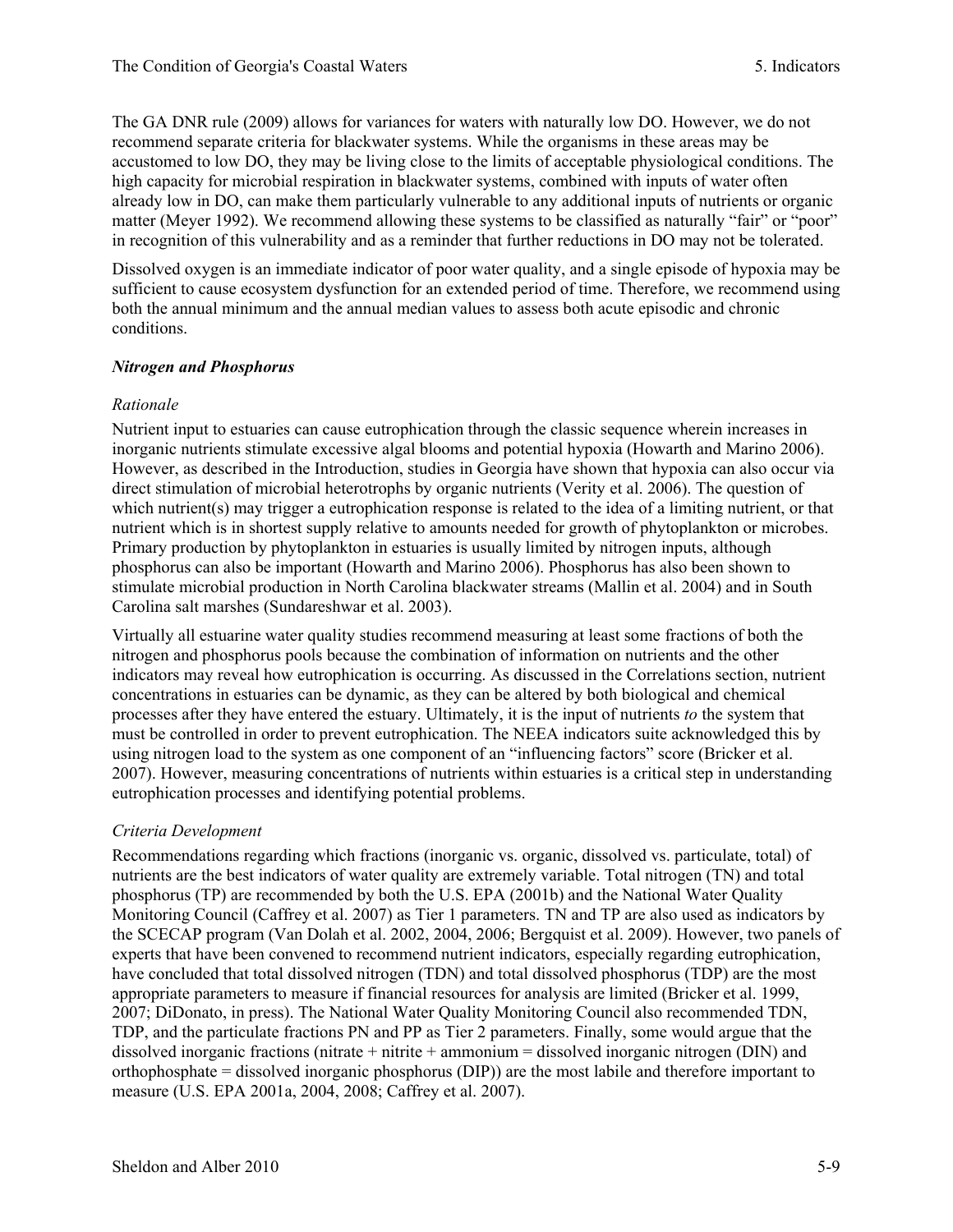The GA DNR rule (2009) allows for variances for waters with naturally low DO. However, we do not recommend separate criteria for blackwater systems. While the organisms in these areas may be accustomed to low DO, they may be living close to the limits of acceptable physiological conditions. The high capacity for microbial respiration in blackwater systems, combined with inputs of water often already low in DO, can make them particularly vulnerable to any additional inputs of nutrients or organic matter (Meyer 1992). We recommend allowing these systems to be classified as naturally "fair" or "poor" in recognition of this vulnerability and as a reminder that further reductions in DO may not be tolerated.

Dissolved oxygen is an immediate indicator of poor water quality, and a single episode of hypoxia may be sufficient to cause ecosystem dysfunction for an extended period of time. Therefore, we recommend using both the annual minimum and the annual median values to assess both acute episodic and chronic conditions.

### *Nitrogen and Phosphorus*

### *Rationale*

Nutrient input to estuaries can cause eutrophication through the classic sequence wherein increases in inorganic nutrients stimulate excessive algal blooms and potential hypoxia (Howarth and Marino 2006). However, as described in the Introduction, studies in Georgia have shown that hypoxia can also occur via direct stimulation of microbial heterotrophs by organic nutrients (Verity et al. 2006). The question of which nutrient(s) may trigger a eutrophication response is related to the idea of a limiting nutrient, or that nutrient which is in shortest supply relative to amounts needed for growth of phytoplankton or microbes. Primary production by phytoplankton in estuaries is usually limited by nitrogen inputs, although phosphorus can also be important (Howarth and Marino 2006). Phosphorus has also been shown to stimulate microbial production in North Carolina blackwater streams (Mallin et al. 2004) and in South Carolina salt marshes (Sundareshwar et al. 2003).

Virtually all estuarine water quality studies recommend measuring at least some fractions of both the nitrogen and phosphorus pools because the combination of information on nutrients and the other indicators may reveal how eutrophication is occurring. As discussed in the Correlations section, nutrient concentrations in estuaries can be dynamic, as they can be altered by both biological and chemical processes after they have entered the estuary. Ultimately, it is the input of nutrients *to* the system that must be controlled in order to prevent eutrophication. The NEEA indicators suite acknowledged this by using nitrogen load to the system as one component of an "influencing factors" score (Bricker et al. 2007). However, measuring concentrations of nutrients within estuaries is a critical step in understanding eutrophication processes and identifying potential problems.

# *Criteria Development*

Recommendations regarding which fractions (inorganic vs. organic, dissolved vs. particulate, total) of nutrients are the best indicators of water quality are extremely variable. Total nitrogen (TN) and total phosphorus (TP) are recommended by both the U.S. EPA (2001b) and the National Water Quality Monitoring Council (Caffrey et al. 2007) as Tier 1 parameters. TN and TP are also used as indicators by the SCECAP program (Van Dolah et al. 2002, 2004, 2006; Bergquist et al. 2009). However, two panels of experts that have been convened to recommend nutrient indicators, especially regarding eutrophication, have concluded that total dissolved nitrogen (TDN) and total dissolved phosphorus (TDP) are the most appropriate parameters to measure if financial resources for analysis are limited (Bricker et al. 1999, 2007; DiDonato, in press). The National Water Quality Monitoring Council also recommended TDN, TDP, and the particulate fractions PN and PP as Tier 2 parameters. Finally, some would argue that the dissolved inorganic fractions (nitrate + nitrite + ammonium = dissolved inorganic nitrogen (DIN) and orthophosphate = dissolved inorganic phosphorus (DIP)) are the most labile and therefore important to measure (U.S. EPA 2001a, 2004, 2008; Caffrey et al. 2007).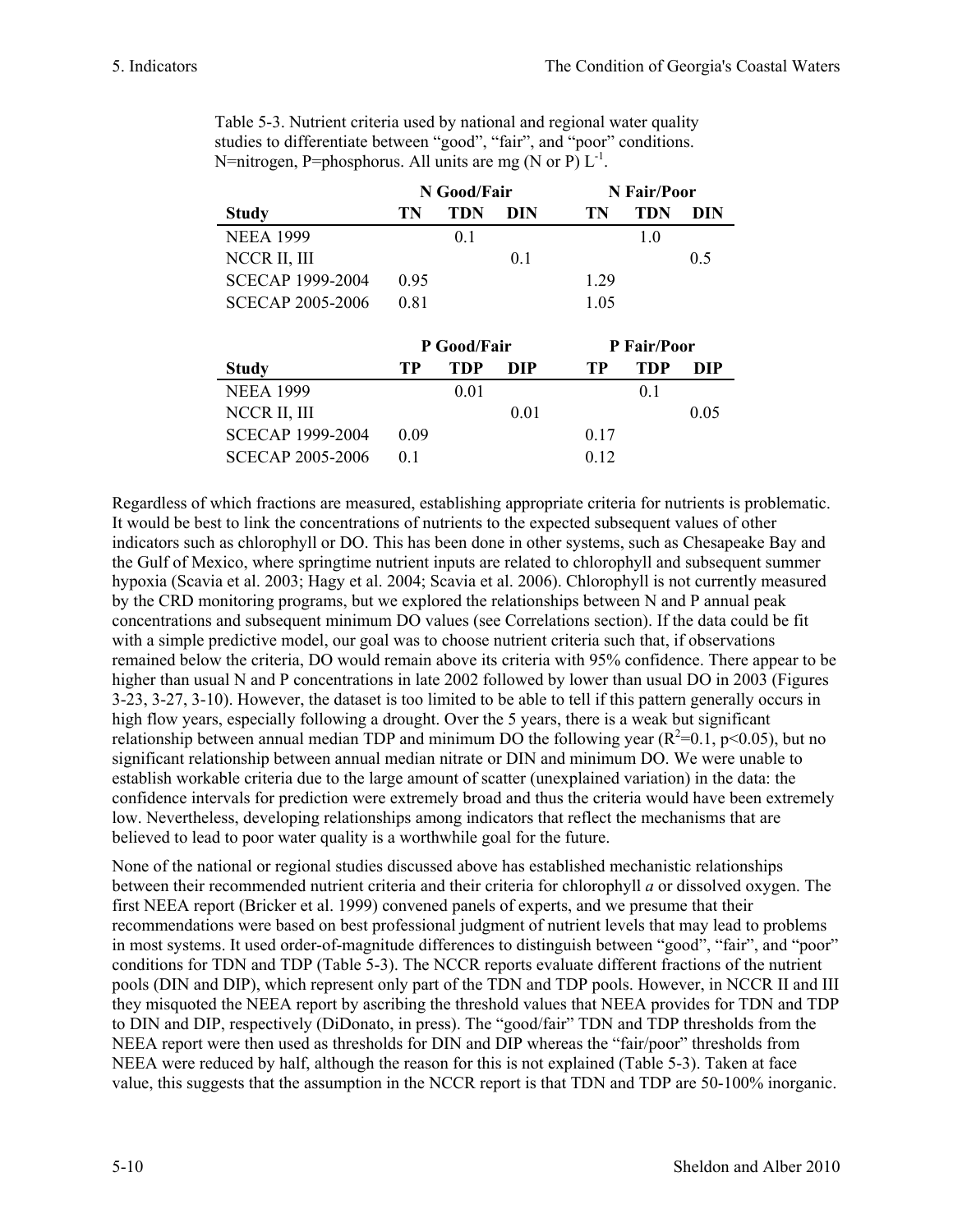|                         | N Good/Fair |                | N Fair/Poor |      |                |     |
|-------------------------|-------------|----------------|-------------|------|----------------|-----|
| <b>Study</b>            | TN          | TDN            | DIN         | TN   | TDN            | DIN |
| <b>NEEA 1999</b>        |             | 0 <sup>1</sup> |             |      | 1 <sub>0</sub> |     |
| NCCR II, III            |             |                | 0.1         |      |                | 0.5 |
| <b>SCECAP 1999-2004</b> | 0.95        |                |             | 1 29 |                |     |
| <b>SCECAP 2005-2006</b> | 0.81        |                |             | 1 05 |                |     |

| Table 5-3. Nutrient criteria used by national and regional water quality |
|--------------------------------------------------------------------------|
| studies to differentiate between "good", "fair", and "poor" conditions.  |
| N=nitrogen, P=phosphorus. All units are mg (N or P) $L^{-1}$ .           |

|                         | P Good/Fair |      | P Fair/Poor |      |     |      |
|-------------------------|-------------|------|-------------|------|-----|------|
| <b>Study</b>            | TР          | TDP  | DIP         | TР   | TDP | DIP  |
| <b>NEEA 1999</b>        |             | 0.01 |             |      | 0.1 |      |
| NCCR II, III            |             |      | 0.01        |      |     | 0.05 |
| <b>SCECAP 1999-2004</b> | 0.09        |      |             | 0.17 |     |      |
| <b>SCECAP 2005-2006</b> |             |      |             | 012  |     |      |

Regardless of which fractions are measured, establishing appropriate criteria for nutrients is problematic. It would be best to link the concentrations of nutrients to the expected subsequent values of other indicators such as chlorophyll or DO. This has been done in other systems, such as Chesapeake Bay and the Gulf of Mexico, where springtime nutrient inputs are related to chlorophyll and subsequent summer hypoxia (Scavia et al. 2003; Hagy et al. 2004; Scavia et al. 2006). Chlorophyll is not currently measured by the CRD monitoring programs, but we explored the relationships between N and P annual peak concentrations and subsequent minimum DO values (see Correlations section). If the data could be fit with a simple predictive model, our goal was to choose nutrient criteria such that, if observations remained below the criteria, DO would remain above its criteria with 95% confidence. There appear to be higher than usual N and P concentrations in late 2002 followed by lower than usual DO in 2003 (Figures 3-23, 3-27, 3-10). However, the dataset is too limited to be able to tell if this pattern generally occurs in high flow years, especially following a drought. Over the 5 years, there is a weak but significant relationship between annual median TDP and minimum DO the following year ( $R^2$ =0.1,  $p$  <0.05), but no significant relationship between annual median nitrate or DIN and minimum DO. We were unable to establish workable criteria due to the large amount of scatter (unexplained variation) in the data: the confidence intervals for prediction were extremely broad and thus the criteria would have been extremely low. Nevertheless, developing relationships among indicators that reflect the mechanisms that are believed to lead to poor water quality is a worthwhile goal for the future.

None of the national or regional studies discussed above has established mechanistic relationships between their recommended nutrient criteria and their criteria for chlorophyll *a* or dissolved oxygen. The first NEEA report (Bricker et al. 1999) convened panels of experts, and we presume that their recommendations were based on best professional judgment of nutrient levels that may lead to problems in most systems. It used order-of-magnitude differences to distinguish between "good", "fair", and "poor" conditions for TDN and TDP (Table 5-3). The NCCR reports evaluate different fractions of the nutrient pools (DIN and DIP), which represent only part of the TDN and TDP pools. However, in NCCR II and III they misquoted the NEEA report by ascribing the threshold values that NEEA provides for TDN and TDP to DIN and DIP, respectively (DiDonato, in press). The "good/fair" TDN and TDP thresholds from the NEEA report were then used as thresholds for DIN and DIP whereas the "fair/poor" thresholds from NEEA were reduced by half, although the reason for this is not explained (Table 5-3). Taken at face value, this suggests that the assumption in the NCCR report is that TDN and TDP are 50-100% inorganic.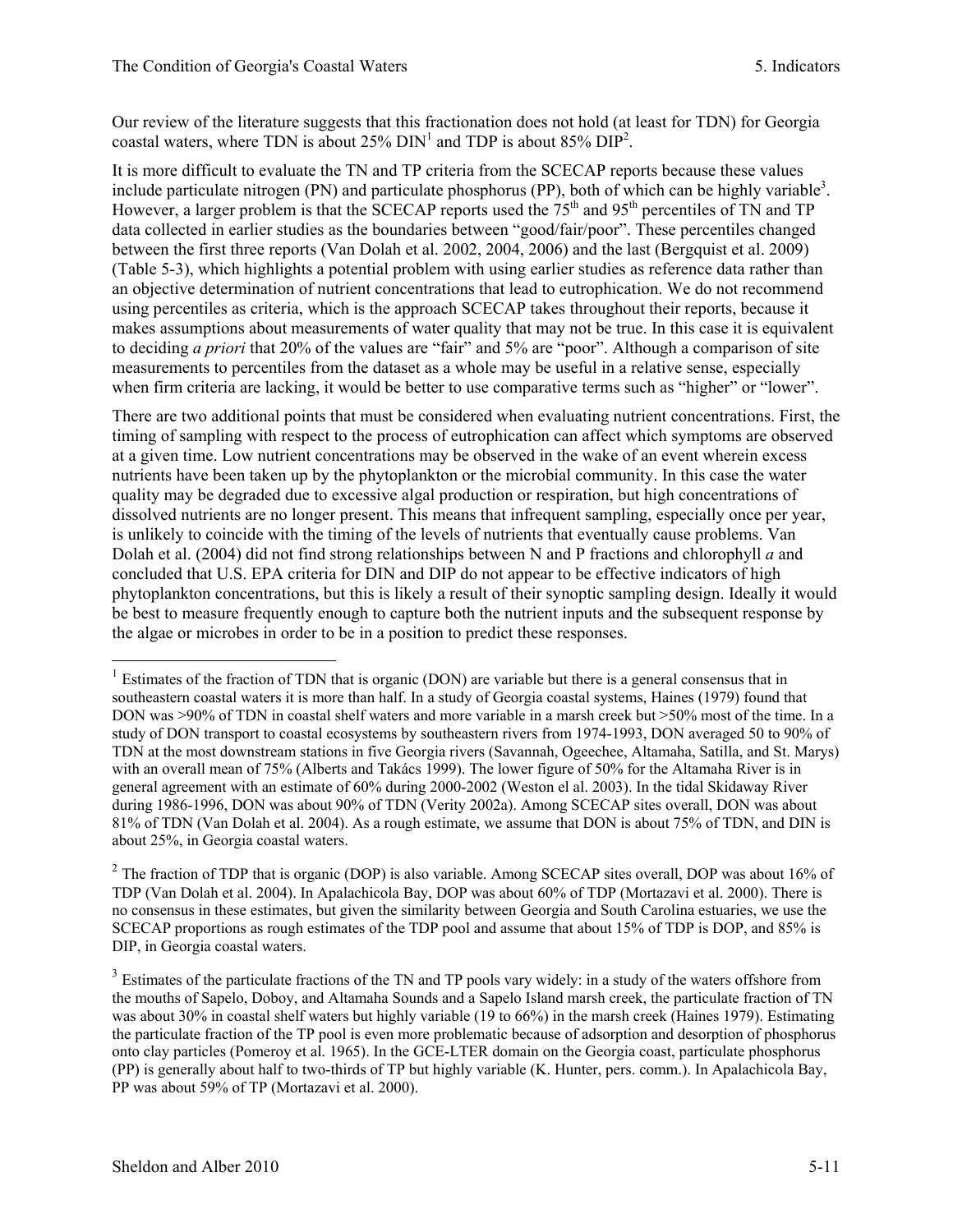Our review of the literature suggests that this fractionation does not hold (at least for TDN) for Georgia coastal waters, where TDN is about  $25\%$  DIN<sup>1</sup> and TDP is about  $85\%$  DIP<sup>2</sup>.

It is more difficult to evaluate the TN and TP criteria from the SCECAP reports because these values include particulate nitrogen (PN) and particulate phosphorus (PP), both of which can be highly variable<sup>3</sup>. However, a larger problem is that the SCECAP reports used the  $75<sup>th</sup>$  and  $95<sup>th</sup>$  percentiles of TN and TP data collected in earlier studies as the boundaries between "good/fair/poor". These percentiles changed between the first three reports (Van Dolah et al. 2002, 2004, 2006) and the last (Bergquist et al. 2009) (Table 5-3), which highlights a potential problem with using earlier studies as reference data rather than an objective determination of nutrient concentrations that lead to eutrophication. We do not recommend using percentiles as criteria, which is the approach SCECAP takes throughout their reports, because it makes assumptions about measurements of water quality that may not be true. In this case it is equivalent to deciding *a priori* that 20% of the values are "fair" and 5% are "poor". Although a comparison of site measurements to percentiles from the dataset as a whole may be useful in a relative sense, especially when firm criteria are lacking, it would be better to use comparative terms such as "higher" or "lower".

There are two additional points that must be considered when evaluating nutrient concentrations. First, the timing of sampling with respect to the process of eutrophication can affect which symptoms are observed at a given time. Low nutrient concentrations may be observed in the wake of an event wherein excess nutrients have been taken up by the phytoplankton or the microbial community. In this case the water quality may be degraded due to excessive algal production or respiration, but high concentrations of dissolved nutrients are no longer present. This means that infrequent sampling, especially once per year, is unlikely to coincide with the timing of the levels of nutrients that eventually cause problems. Van Dolah et al. (2004) did not find strong relationships between N and P fractions and chlorophyll *a* and concluded that U.S. EPA criteria for DIN and DIP do not appear to be effective indicators of high phytoplankton concentrations, but this is likely a result of their synoptic sampling design. Ideally it would be best to measure frequently enough to capture both the nutrient inputs and the subsequent response by the algae or microbes in order to be in a position to predict these responses.

l

<sup>&</sup>lt;sup>1</sup> Estimates of the fraction of TDN that is organic (DON) are variable but there is a general consensus that in southeastern coastal waters it is more than half. In a study of Georgia coastal systems, Haines (1979) found that DON was >90% of TDN in coastal shelf waters and more variable in a marsh creek but >50% most of the time. In a study of DON transport to coastal ecosystems by southeastern rivers from 1974-1993, DON averaged 50 to 90% of TDN at the most downstream stations in five Georgia rivers (Savannah, Ogeechee, Altamaha, Satilla, and St. Marys) with an overall mean of 75% (Alberts and Takács 1999). The lower figure of 50% for the Altamaha River is in general agreement with an estimate of 60% during 2000-2002 (Weston el al. 2003). In the tidal Skidaway River during 1986-1996, DON was about 90% of TDN (Verity 2002a). Among SCECAP sites overall, DON was about 81% of TDN (Van Dolah et al. 2004). As a rough estimate, we assume that DON is about 75% of TDN, and DIN is about 25%, in Georgia coastal waters.

<sup>&</sup>lt;sup>2</sup> The fraction of TDP that is organic (DOP) is also variable. Among SCECAP sites overall, DOP was about 16% of TDP (Van Dolah et al. 2004). In Apalachicola Bay, DOP was about 60% of TDP (Mortazavi et al. 2000). There is no consensus in these estimates, but given the similarity between Georgia and South Carolina estuaries, we use the SCECAP proportions as rough estimates of the TDP pool and assume that about 15% of TDP is DOP, and 85% is DIP, in Georgia coastal waters.

<sup>&</sup>lt;sup>3</sup> Estimates of the particulate fractions of the TN and TP pools vary widely: in a study of the waters offshore from the mouths of Sapelo, Doboy, and Altamaha Sounds and a Sapelo Island marsh creek, the particulate fraction of TN was about 30% in coastal shelf waters but highly variable (19 to 66%) in the marsh creek (Haines 1979). Estimating the particulate fraction of the TP pool is even more problematic because of adsorption and desorption of phosphorus onto clay particles (Pomeroy et al. 1965). In the GCE-LTER domain on the Georgia coast, particulate phosphorus (PP) is generally about half to two-thirds of TP but highly variable (K. Hunter, pers. comm.). In Apalachicola Bay, PP was about 59% of TP (Mortazavi et al. 2000).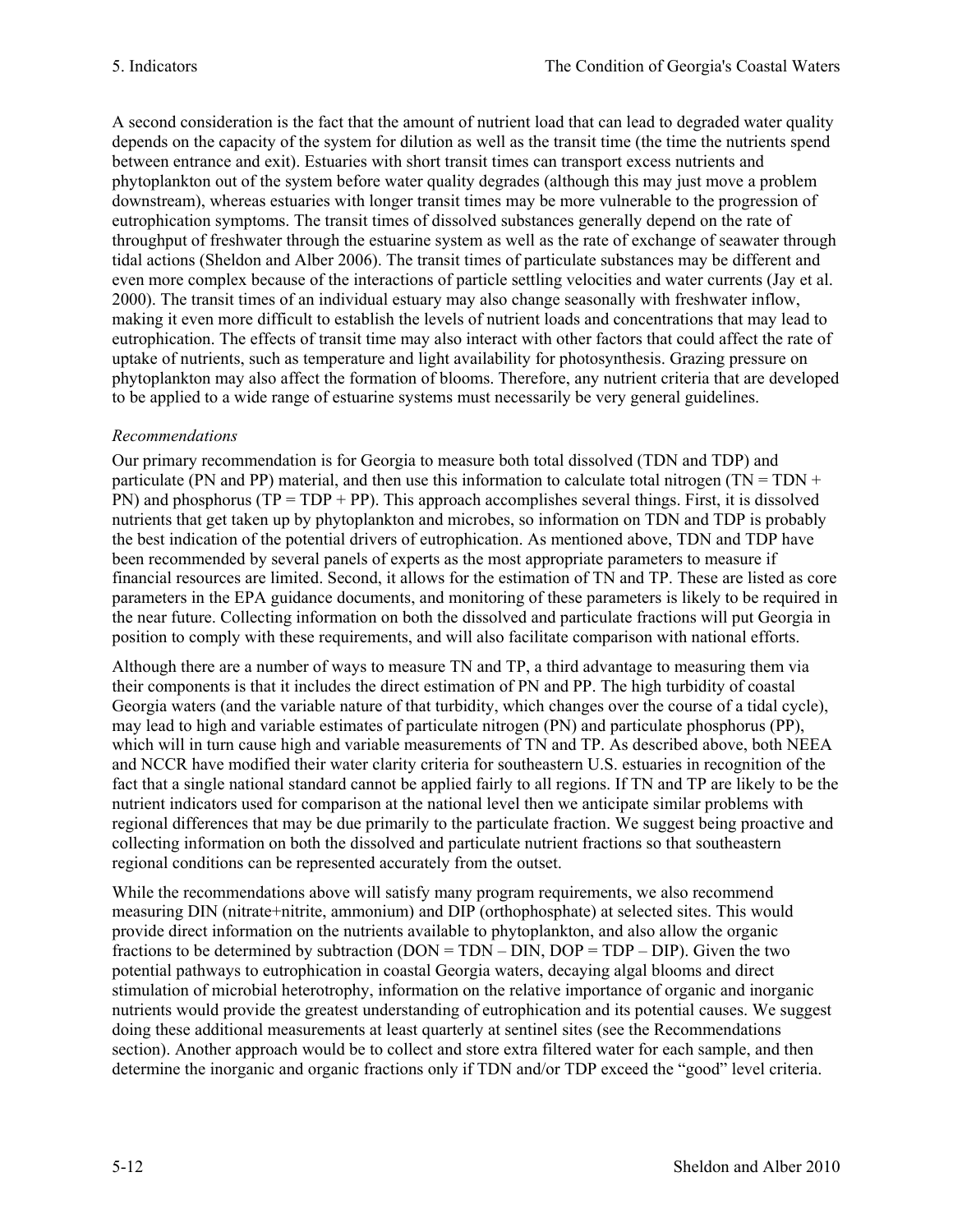A second consideration is the fact that the amount of nutrient load that can lead to degraded water quality depends on the capacity of the system for dilution as well as the transit time (the time the nutrients spend between entrance and exit). Estuaries with short transit times can transport excess nutrients and phytoplankton out of the system before water quality degrades (although this may just move a problem downstream), whereas estuaries with longer transit times may be more vulnerable to the progression of eutrophication symptoms. The transit times of dissolved substances generally depend on the rate of throughput of freshwater through the estuarine system as well as the rate of exchange of seawater through tidal actions (Sheldon and Alber 2006). The transit times of particulate substances may be different and even more complex because of the interactions of particle settling velocities and water currents (Jay et al. 2000). The transit times of an individual estuary may also change seasonally with freshwater inflow, making it even more difficult to establish the levels of nutrient loads and concentrations that may lead to eutrophication. The effects of transit time may also interact with other factors that could affect the rate of uptake of nutrients, such as temperature and light availability for photosynthesis. Grazing pressure on phytoplankton may also affect the formation of blooms. Therefore, any nutrient criteria that are developed to be applied to a wide range of estuarine systems must necessarily be very general guidelines.

# *Recommendations*

Our primary recommendation is for Georgia to measure both total dissolved (TDN and TDP) and particulate (PN and PP) material, and then use this information to calculate total nitrogen (TN = TDN + PN) and phosphorus ( $TP = TDP + PP$ ). This approach accomplishes several things. First, it is dissolved nutrients that get taken up by phytoplankton and microbes, so information on TDN and TDP is probably the best indication of the potential drivers of eutrophication. As mentioned above, TDN and TDP have been recommended by several panels of experts as the most appropriate parameters to measure if financial resources are limited. Second, it allows for the estimation of TN and TP. These are listed as core parameters in the EPA guidance documents, and monitoring of these parameters is likely to be required in the near future. Collecting information on both the dissolved and particulate fractions will put Georgia in position to comply with these requirements, and will also facilitate comparison with national efforts.

Although there are a number of ways to measure TN and TP, a third advantage to measuring them via their components is that it includes the direct estimation of PN and PP. The high turbidity of coastal Georgia waters (and the variable nature of that turbidity, which changes over the course of a tidal cycle), may lead to high and variable estimates of particulate nitrogen (PN) and particulate phosphorus (PP), which will in turn cause high and variable measurements of TN and TP. As described above, both NEEA and NCCR have modified their water clarity criteria for southeastern U.S. estuaries in recognition of the fact that a single national standard cannot be applied fairly to all regions. If TN and TP are likely to be the nutrient indicators used for comparison at the national level then we anticipate similar problems with regional differences that may be due primarily to the particulate fraction. We suggest being proactive and collecting information on both the dissolved and particulate nutrient fractions so that southeastern regional conditions can be represented accurately from the outset.

While the recommendations above will satisfy many program requirements, we also recommend measuring DIN (nitrate+nitrite, ammonium) and DIP (orthophosphate) at selected sites. This would provide direct information on the nutrients available to phytoplankton, and also allow the organic fractions to be determined by subtraction  $(DON = TDN - DIN, DOP = TDP - DIP)$ . Given the two potential pathways to eutrophication in coastal Georgia waters, decaying algal blooms and direct stimulation of microbial heterotrophy, information on the relative importance of organic and inorganic nutrients would provide the greatest understanding of eutrophication and its potential causes. We suggest doing these additional measurements at least quarterly at sentinel sites (see the Recommendations section). Another approach would be to collect and store extra filtered water for each sample, and then determine the inorganic and organic fractions only if TDN and/or TDP exceed the "good" level criteria.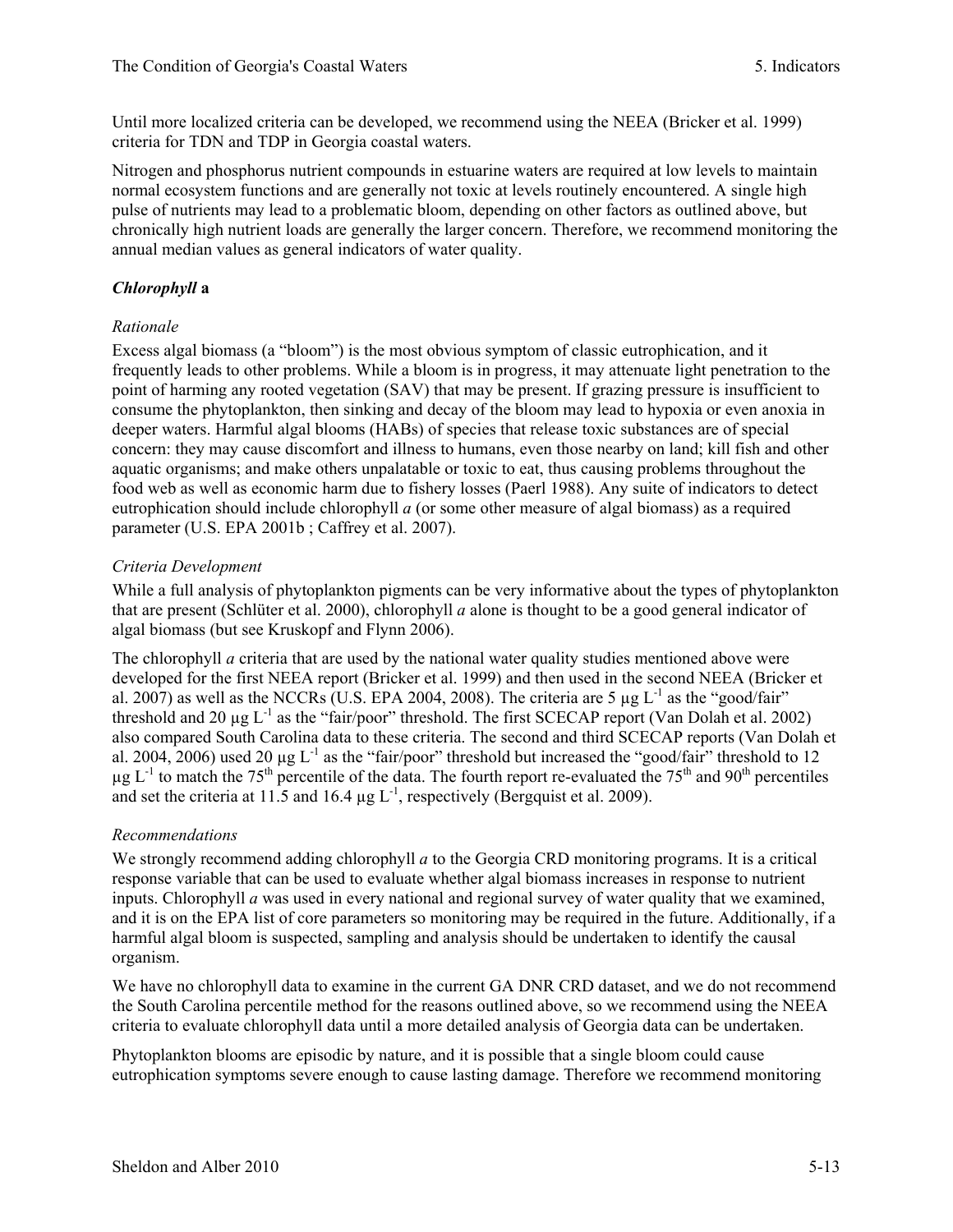Until more localized criteria can be developed, we recommend using the NEEA (Bricker et al. 1999) criteria for TDN and TDP in Georgia coastal waters.

Nitrogen and phosphorus nutrient compounds in estuarine waters are required at low levels to maintain normal ecosystem functions and are generally not toxic at levels routinely encountered. A single high pulse of nutrients may lead to a problematic bloom, depending on other factors as outlined above, but chronically high nutrient loads are generally the larger concern. Therefore, we recommend monitoring the annual median values as general indicators of water quality.

### *Chlorophyll* **a**

### *Rationale*

Excess algal biomass (a "bloom") is the most obvious symptom of classic eutrophication, and it frequently leads to other problems. While a bloom is in progress, it may attenuate light penetration to the point of harming any rooted vegetation (SAV) that may be present. If grazing pressure is insufficient to consume the phytoplankton, then sinking and decay of the bloom may lead to hypoxia or even anoxia in deeper waters. Harmful algal blooms (HABs) of species that release toxic substances are of special concern: they may cause discomfort and illness to humans, even those nearby on land; kill fish and other aquatic organisms; and make others unpalatable or toxic to eat, thus causing problems throughout the food web as well as economic harm due to fishery losses (Paerl 1988). Any suite of indicators to detect eutrophication should include chlorophyll *a* (or some other measure of algal biomass) as a required parameter (U.S. EPA 2001b ; Caffrey et al. 2007).

### *Criteria Development*

While a full analysis of phytoplankton pigments can be very informative about the types of phytoplankton that are present (Schlüter et al. 2000), chlorophyll *a* alone is thought to be a good general indicator of algal biomass (but see Kruskopf and Flynn 2006).

The chlorophyll *a* criteria that are used by the national water quality studies mentioned above were developed for the first NEEA report (Bricker et al. 1999) and then used in the second NEEA (Bricker et al. 2007) as well as the NCCRs (U.S. EPA 2004, 2008). The criteria are 5  $\mu$ g L<sup>-1</sup> as the "good/fair" threshold and 20  $\mu$ g L<sup>-1</sup> as the "fair/poor" threshold. The first SCECAP report (Van Dolah et al. 2002) also compared South Carolina data to these criteria. The second and third SCECAP reports (Van Dolah et al. 2004, 2006) used 20  $\mu$ g L<sup>-1</sup> as the "fair/poor" threshold but increased the "good/fair" threshold to 12  $\mu$ g L<sup>-1</sup> to match the 75<sup>th</sup> percentile of the data. The fourth report re-evaluated the 75<sup>th</sup> and 90<sup>th</sup> percentiles and set the criteria at 11.5 and 16.4  $\mu$ g L<sup>-1</sup>, respectively (Bergquist et al. 2009).

### *Recommendations*

We strongly recommend adding chlorophyll *a* to the Georgia CRD monitoring programs. It is a critical response variable that can be used to evaluate whether algal biomass increases in response to nutrient inputs. Chlorophyll *a* was used in every national and regional survey of water quality that we examined, and it is on the EPA list of core parameters so monitoring may be required in the future. Additionally, if a harmful algal bloom is suspected, sampling and analysis should be undertaken to identify the causal organism.

We have no chlorophyll data to examine in the current GA DNR CRD dataset, and we do not recommend the South Carolina percentile method for the reasons outlined above, so we recommend using the NEEA criteria to evaluate chlorophyll data until a more detailed analysis of Georgia data can be undertaken.

Phytoplankton blooms are episodic by nature, and it is possible that a single bloom could cause eutrophication symptoms severe enough to cause lasting damage. Therefore we recommend monitoring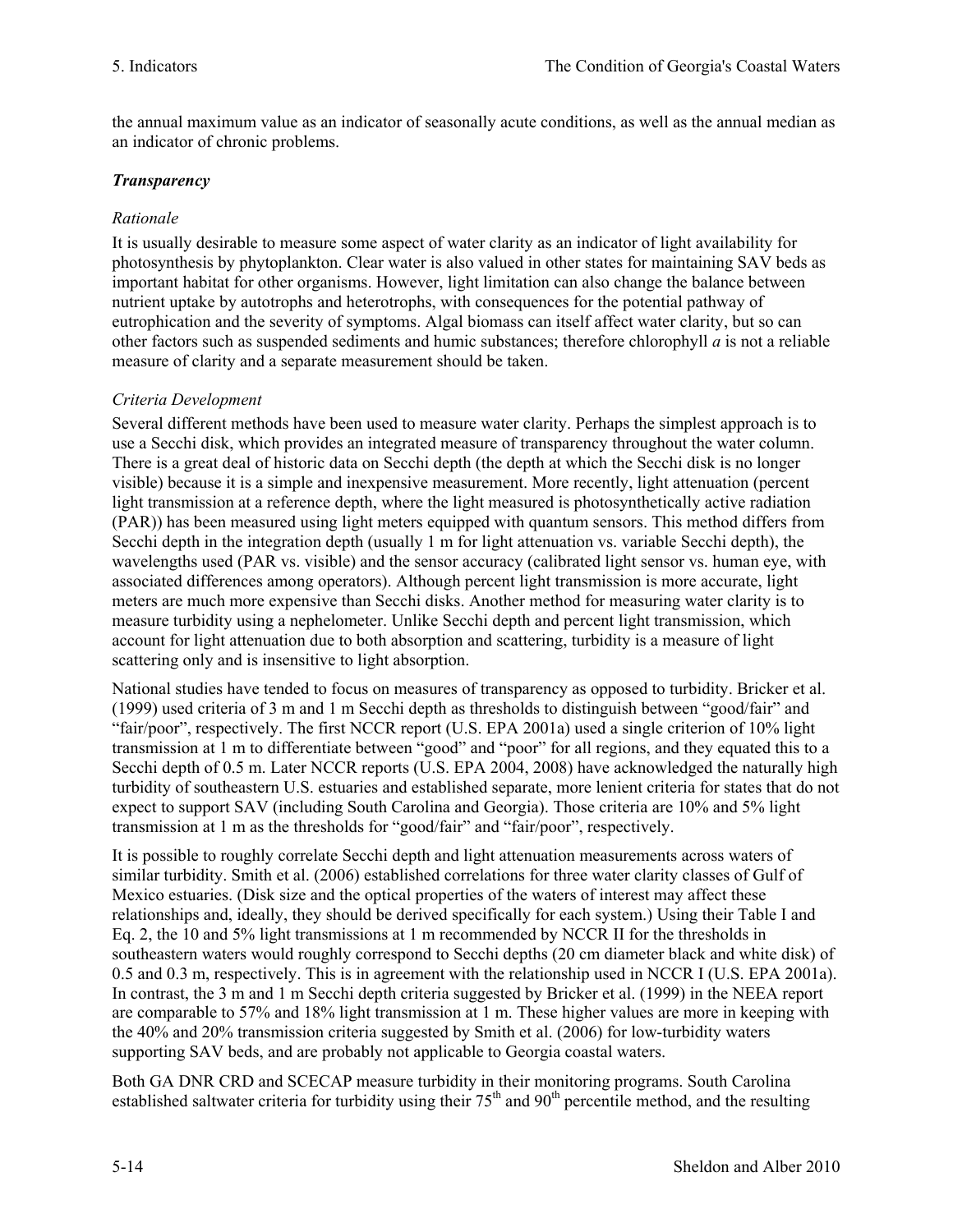the annual maximum value as an indicator of seasonally acute conditions, as well as the annual median as an indicator of chronic problems.

# *Transparency*

# *Rationale*

It is usually desirable to measure some aspect of water clarity as an indicator of light availability for photosynthesis by phytoplankton. Clear water is also valued in other states for maintaining SAV beds as important habitat for other organisms. However, light limitation can also change the balance between nutrient uptake by autotrophs and heterotrophs, with consequences for the potential pathway of eutrophication and the severity of symptoms. Algal biomass can itself affect water clarity, but so can other factors such as suspended sediments and humic substances; therefore chlorophyll *a* is not a reliable measure of clarity and a separate measurement should be taken.

# *Criteria Development*

Several different methods have been used to measure water clarity. Perhaps the simplest approach is to use a Secchi disk, which provides an integrated measure of transparency throughout the water column. There is a great deal of historic data on Secchi depth (the depth at which the Secchi disk is no longer visible) because it is a simple and inexpensive measurement. More recently, light attenuation (percent light transmission at a reference depth, where the light measured is photosynthetically active radiation (PAR)) has been measured using light meters equipped with quantum sensors. This method differs from Secchi depth in the integration depth (usually 1 m for light attenuation vs. variable Secchi depth), the wavelengths used (PAR vs. visible) and the sensor accuracy (calibrated light sensor vs. human eye, with associated differences among operators). Although percent light transmission is more accurate, light meters are much more expensive than Secchi disks. Another method for measuring water clarity is to measure turbidity using a nephelometer. Unlike Secchi depth and percent light transmission, which account for light attenuation due to both absorption and scattering, turbidity is a measure of light scattering only and is insensitive to light absorption.

National studies have tended to focus on measures of transparency as opposed to turbidity. Bricker et al. (1999) used criteria of 3 m and 1 m Secchi depth as thresholds to distinguish between "good/fair" and "fair/poor", respectively. The first NCCR report (U.S. EPA 2001a) used a single criterion of 10% light transmission at 1 m to differentiate between "good" and "poor" for all regions, and they equated this to a Secchi depth of 0.5 m. Later NCCR reports (U.S. EPA 2004, 2008) have acknowledged the naturally high turbidity of southeastern U.S. estuaries and established separate, more lenient criteria for states that do not expect to support SAV (including South Carolina and Georgia). Those criteria are 10% and 5% light transmission at 1 m as the thresholds for "good/fair" and "fair/poor", respectively.

It is possible to roughly correlate Secchi depth and light attenuation measurements across waters of similar turbidity. Smith et al. (2006) established correlations for three water clarity classes of Gulf of Mexico estuaries. (Disk size and the optical properties of the waters of interest may affect these relationships and, ideally, they should be derived specifically for each system.) Using their Table I and Eq. 2, the 10 and 5% light transmissions at 1 m recommended by NCCR II for the thresholds in southeastern waters would roughly correspond to Secchi depths (20 cm diameter black and white disk) of 0.5 and 0.3 m, respectively. This is in agreement with the relationship used in NCCR I (U.S. EPA 2001a). In contrast, the 3 m and 1 m Secchi depth criteria suggested by Bricker et al. (1999) in the NEEA report are comparable to 57% and 18% light transmission at 1 m. These higher values are more in keeping with the 40% and 20% transmission criteria suggested by Smith et al. (2006) for low-turbidity waters supporting SAV beds, and are probably not applicable to Georgia coastal waters.

Both GA DNR CRD and SCECAP measure turbidity in their monitoring programs. South Carolina established saltwater criteria for turbidity using their  $75<sup>th</sup>$  and  $90<sup>th</sup>$  percentile method, and the resulting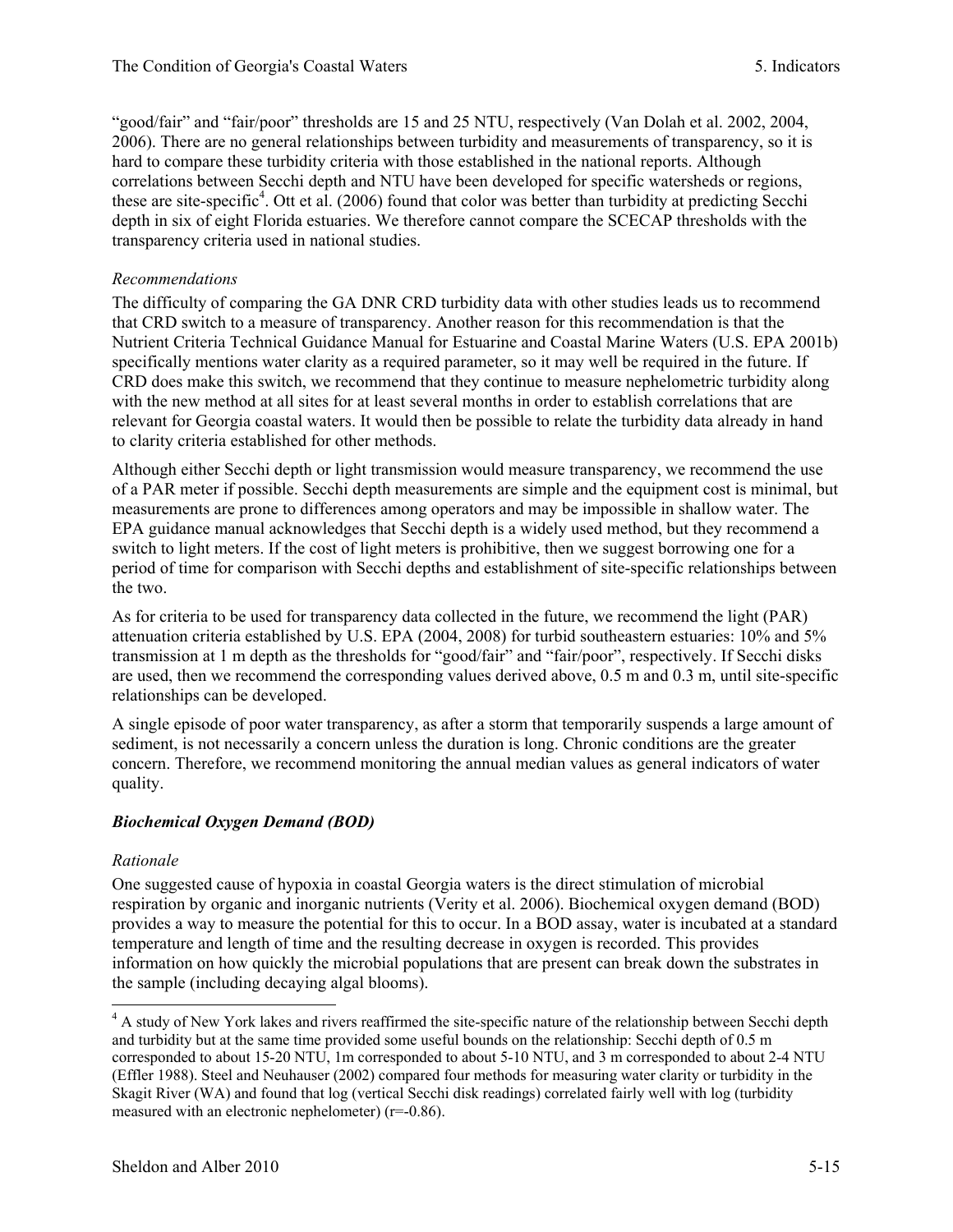"good/fair" and "fair/poor" thresholds are 15 and 25 NTU, respectively (Van Dolah et al. 2002, 2004, 2006). There are no general relationships between turbidity and measurements of transparency, so it is hard to compare these turbidity criteria with those established in the national reports. Although correlations between Secchi depth and NTU have been developed for specific watersheds or regions, these are site-specific<sup>4</sup>. Ott et al. (2006) found that color was better than turbidity at predicting Secchi depth in six of eight Florida estuaries. We therefore cannot compare the SCECAP thresholds with the transparency criteria used in national studies.

### *Recommendations*

The difficulty of comparing the GA DNR CRD turbidity data with other studies leads us to recommend that CRD switch to a measure of transparency. Another reason for this recommendation is that the Nutrient Criteria Technical Guidance Manual for Estuarine and Coastal Marine Waters (U.S. EPA 2001b) specifically mentions water clarity as a required parameter, so it may well be required in the future. If CRD does make this switch, we recommend that they continue to measure nephelometric turbidity along with the new method at all sites for at least several months in order to establish correlations that are relevant for Georgia coastal waters. It would then be possible to relate the turbidity data already in hand to clarity criteria established for other methods.

Although either Secchi depth or light transmission would measure transparency, we recommend the use of a PAR meter if possible. Secchi depth measurements are simple and the equipment cost is minimal, but measurements are prone to differences among operators and may be impossible in shallow water. The EPA guidance manual acknowledges that Secchi depth is a widely used method, but they recommend a switch to light meters. If the cost of light meters is prohibitive, then we suggest borrowing one for a period of time for comparison with Secchi depths and establishment of site-specific relationships between the two.

As for criteria to be used for transparency data collected in the future, we recommend the light (PAR) attenuation criteria established by U.S. EPA (2004, 2008) for turbid southeastern estuaries: 10% and 5% transmission at 1 m depth as the thresholds for "good/fair" and "fair/poor", respectively. If Secchi disks are used, then we recommend the corresponding values derived above, 0.5 m and 0.3 m, until site-specific relationships can be developed.

A single episode of poor water transparency, as after a storm that temporarily suspends a large amount of sediment, is not necessarily a concern unless the duration is long. Chronic conditions are the greater concern. Therefore, we recommend monitoring the annual median values as general indicators of water quality.

# *Biochemical Oxygen Demand (BOD)*

### *Rationale*

One suggested cause of hypoxia in coastal Georgia waters is the direct stimulation of microbial respiration by organic and inorganic nutrients (Verity et al. 2006). Biochemical oxygen demand (BOD) provides a way to measure the potential for this to occur. In a BOD assay, water is incubated at a standard temperature and length of time and the resulting decrease in oxygen is recorded. This provides information on how quickly the microbial populations that are present can break down the substrates in the sample (including decaying algal blooms).

<sup>&</sup>lt;sup>4</sup> A study of New York lakes and rivers reaffirmed the site-specific nature of the relationship between Secchi depth and turbidity but at the same time provided some useful bounds on the relationship: Secchi depth of 0.5 m corresponded to about 15-20 NTU, 1m corresponded to about 5-10 NTU, and 3 m corresponded to about 2-4 NTU (Effler 1988). Steel and Neuhauser (2002) compared four methods for measuring water clarity or turbidity in the Skagit River (WA) and found that log (vertical Secchi disk readings) correlated fairly well with log (turbidity measured with an electronic nephelometer) (r=-0.86).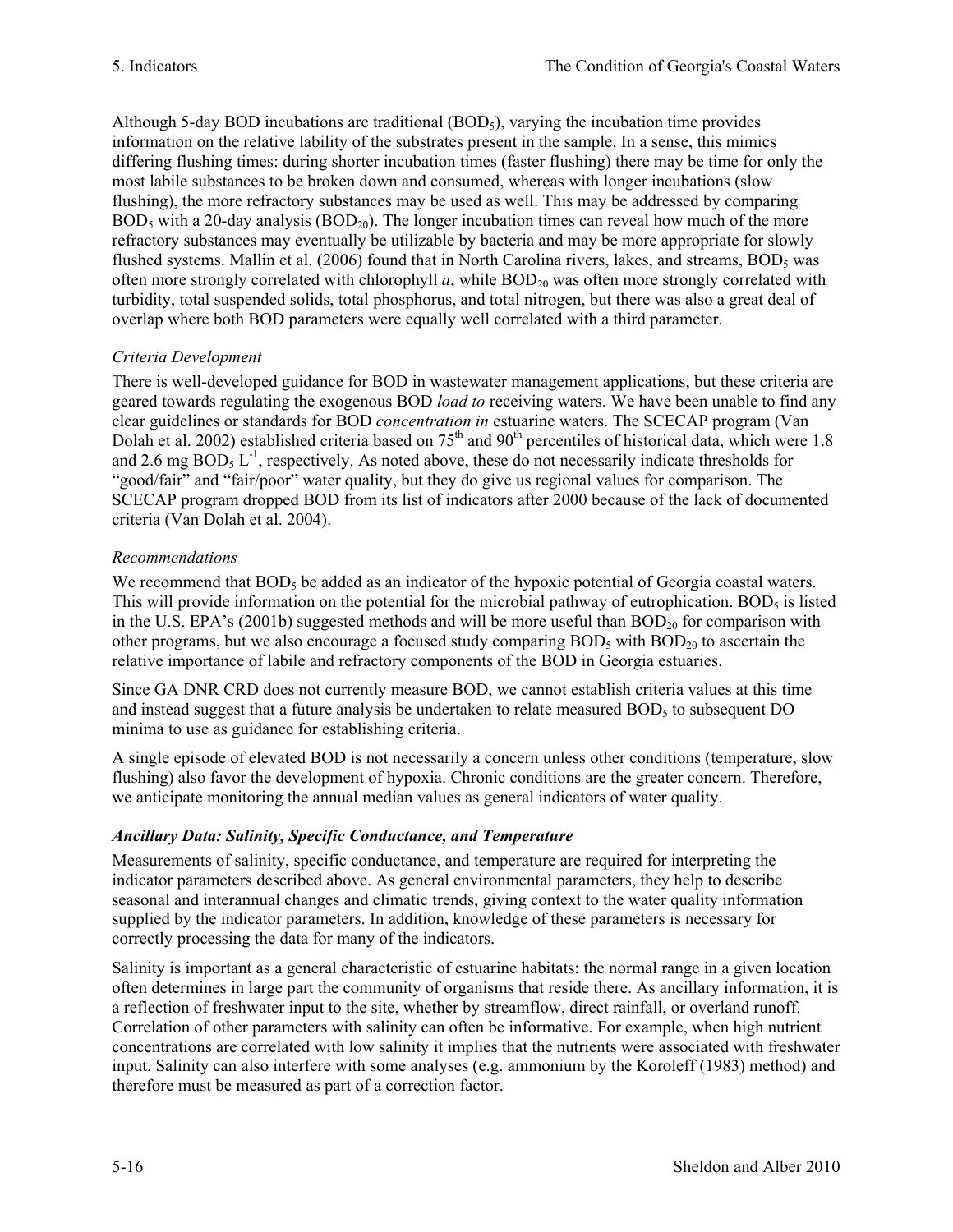Although 5-day BOD incubations are traditional  $(BOD<sub>5</sub>)$ , varying the incubation time provides information on the relative lability of the substrates present in the sample. In a sense, this mimics differing flushing times: during shorter incubation times (faster flushing) there may be time for only the most labile substances to be broken down and consumed, whereas with longer incubations (slow flushing), the more refractory substances may be used as well. This may be addressed by comparing  $BOD_5$  with a 20-day analysis  $(BOD_{20})$ . The longer incubation times can reveal how much of the more refractory substances may eventually be utilizable by bacteria and may be more appropriate for slowly flushed systems. Mallin et al. (2006) found that in North Carolina rivers, lakes, and streams,  $BOD<sub>5</sub>$  was often more strongly correlated with chlorophyll  $a$ , while  $BOD_{20}$  was often more strongly correlated with turbidity, total suspended solids, total phosphorus, and total nitrogen, but there was also a great deal of overlap where both BOD parameters were equally well correlated with a third parameter.

# *Criteria Development*

There is well-developed guidance for BOD in wastewater management applications, but these criteria are geared towards regulating the exogenous BOD *load to* receiving waters. We have been unable to find any clear guidelines or standards for BOD *concentration in* estuarine waters. The SCECAP program (Van Dolah et al. 2002) established criteria based on  $75<sup>th</sup>$  and  $90<sup>th</sup>$  percentiles of historical data, which were 1.8 and 2.6 mg  $BOD<sub>5</sub> L<sup>-1</sup>$ , respectively. As noted above, these do not necessarily indicate thresholds for "good/fair" and "fair/poor" water quality, but they do give us regional values for comparison. The SCECAP program dropped BOD from its list of indicators after 2000 because of the lack of documented criteria (Van Dolah et al. 2004).

# *Recommendations*

We recommend that  $BOD<sub>5</sub>$  be added as an indicator of the hypoxic potential of Georgia coastal waters. This will provide information on the potential for the microbial pathway of eutrophication. BOD<sub>5</sub> is listed in the U.S. EPA's (2001b) suggested methods and will be more useful than  $BOD_{20}$  for comparison with other programs, but we also encourage a focused study comparing  $BOD_5$  with  $BOD_{20}$  to ascertain the relative importance of labile and refractory components of the BOD in Georgia estuaries.

Since GA DNR CRD does not currently measure BOD, we cannot establish criteria values at this time and instead suggest that a future analysis be undertaken to relate measured  $BOD<sub>5</sub>$  to subsequent DO minima to use as guidance for establishing criteria.

A single episode of elevated BOD is not necessarily a concern unless other conditions (temperature, slow flushing) also favor the development of hypoxia. Chronic conditions are the greater concern. Therefore, we anticipate monitoring the annual median values as general indicators of water quality.

# *Ancillary Data: Salinity, Specific Conductance, and Temperature*

Measurements of salinity, specific conductance, and temperature are required for interpreting the indicator parameters described above. As general environmental parameters, they help to describe seasonal and interannual changes and climatic trends, giving context to the water quality information supplied by the indicator parameters. In addition, knowledge of these parameters is necessary for correctly processing the data for many of the indicators.

Salinity is important as a general characteristic of estuarine habitats: the normal range in a given location often determines in large part the community of organisms that reside there. As ancillary information, it is a reflection of freshwater input to the site, whether by streamflow, direct rainfall, or overland runoff. Correlation of other parameters with salinity can often be informative. For example, when high nutrient concentrations are correlated with low salinity it implies that the nutrients were associated with freshwater input. Salinity can also interfere with some analyses (e.g. ammonium by the Koroleff (1983) method) and therefore must be measured as part of a correction factor.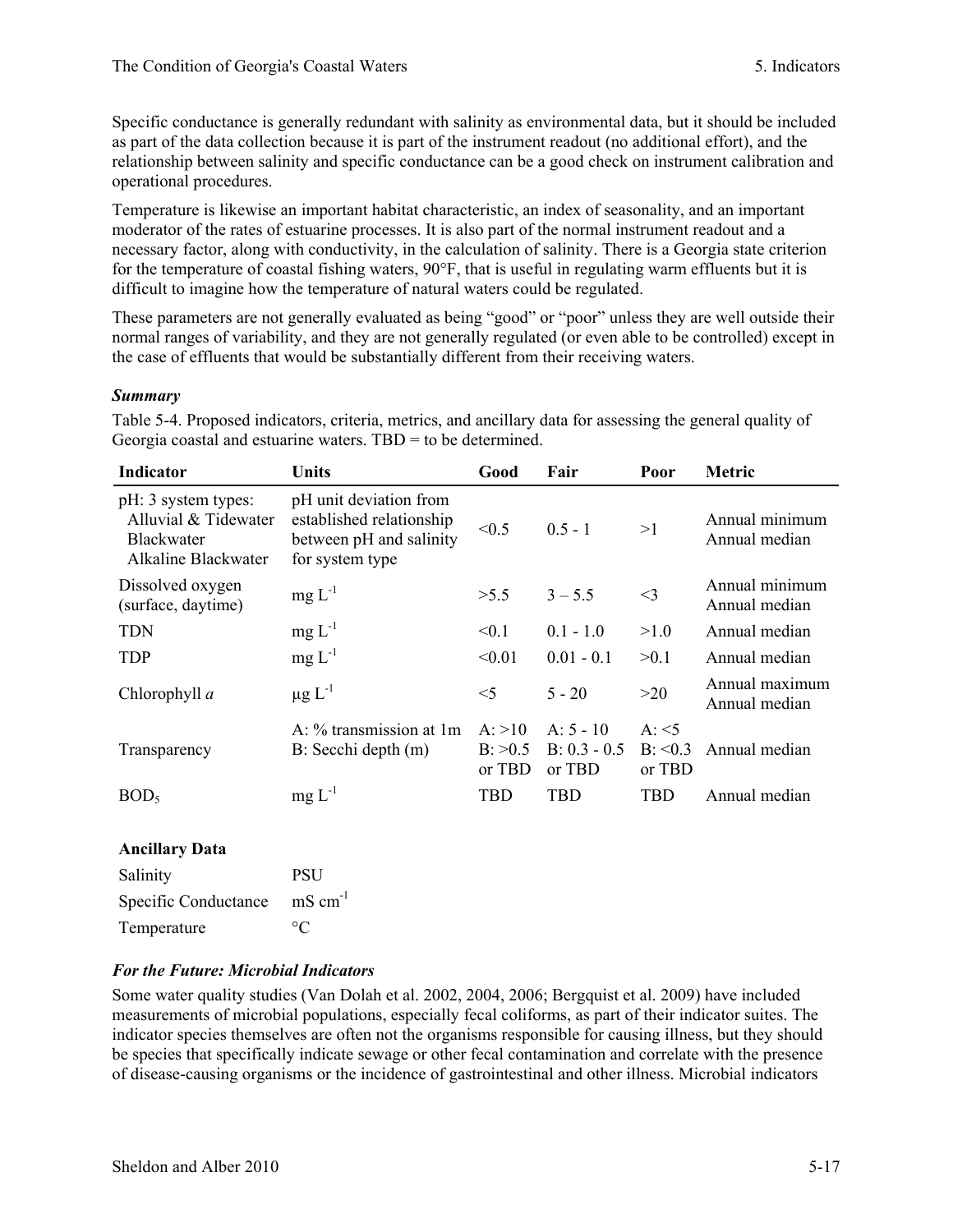Specific conductance is generally redundant with salinity as environmental data, but it should be included as part of the data collection because it is part of the instrument readout (no additional effort), and the relationship between salinity and specific conductance can be a good check on instrument calibration and operational procedures.

Temperature is likewise an important habitat characteristic, an index of seasonality, and an important moderator of the rates of estuarine processes. It is also part of the normal instrument readout and a necessary factor, along with conductivity, in the calculation of salinity. There is a Georgia state criterion for the temperature of coastal fishing waters, 90°F, that is useful in regulating warm effluents but it is difficult to imagine how the temperature of natural waters could be regulated.

These parameters are not generally evaluated as being "good" or "poor" unless they are well outside their normal ranges of variability, and they are not generally regulated (or even able to be controlled) except in the case of effluents that would be substantially different from their receiving waters.

### *Summary*

Table 5-4. Proposed indicators, criteria, metrics, and ancillary data for assessing the general quality of Georgia coastal and estuarine waters. TBD = to be determined.

| <b>Indicator</b>                                                                        | Units                                                                                            | Good                             | Fair                                    | Poor                                  | <b>Metric</b>                   |
|-----------------------------------------------------------------------------------------|--------------------------------------------------------------------------------------------------|----------------------------------|-----------------------------------------|---------------------------------------|---------------------------------|
| pH: 3 system types:<br>Alluvial & Tidewater<br><b>Blackwater</b><br>Alkaline Blackwater | pH unit deviation from<br>established relationship<br>between pH and salinity<br>for system type | < 0.5                            | $0.5 - 1$                               | >1                                    | Annual minimum<br>Annual median |
| Dissolved oxygen<br>(surface, daytime)                                                  | $mg L-1$                                                                                         | >5.5                             | $3 - 5.5$                               | $<$ 3                                 | Annual minimum<br>Annual median |
| <b>TDN</b>                                                                              | $mg L^{-1}$                                                                                      | < 0.1                            | $0.1 - 1.0$                             | >1.0                                  | Annual median                   |
| <b>TDP</b>                                                                              | $mg L^{-1}$                                                                                      | < 0.01                           | $0.01 - 0.1$                            | >0.1                                  | Annual median                   |
| Chlorophyll a                                                                           | $\mu$ g L <sup>-1</sup>                                                                          | $<$ 5                            | $5 - 20$                                | >20                                   | Annual maximum<br>Annual median |
| Transparency                                                                            | $A: \%$ transmission at 1 m<br>B: Secchi depth (m)                                               | A: >10<br>$B$ : $>0.5$<br>or TBD | $A: 5 - 10$<br>$B: 0.3 - 0.5$<br>or TBD | $A: \leq 5$<br>$B: \le 0.3$<br>or TBD | Annual median                   |
| BOD <sub>5</sub>                                                                        | $mg L^{-1}$                                                                                      | TBD                              | <b>TBD</b>                              | <b>TBD</b>                            | Annual median                   |

### **Ancillary Data**

| Salinity             | <b>PSU</b>          |
|----------------------|---------------------|
| Specific Conductance | $\text{mS cm}^{-1}$ |
| Temperature          | $\circ$ C           |

# *For the Future: Microbial Indicators*

Some water quality studies (Van Dolah et al. 2002, 2004, 2006; Bergquist et al. 2009) have included measurements of microbial populations, especially fecal coliforms, as part of their indicator suites. The indicator species themselves are often not the organisms responsible for causing illness, but they should be species that specifically indicate sewage or other fecal contamination and correlate with the presence of disease-causing organisms or the incidence of gastrointestinal and other illness. Microbial indicators